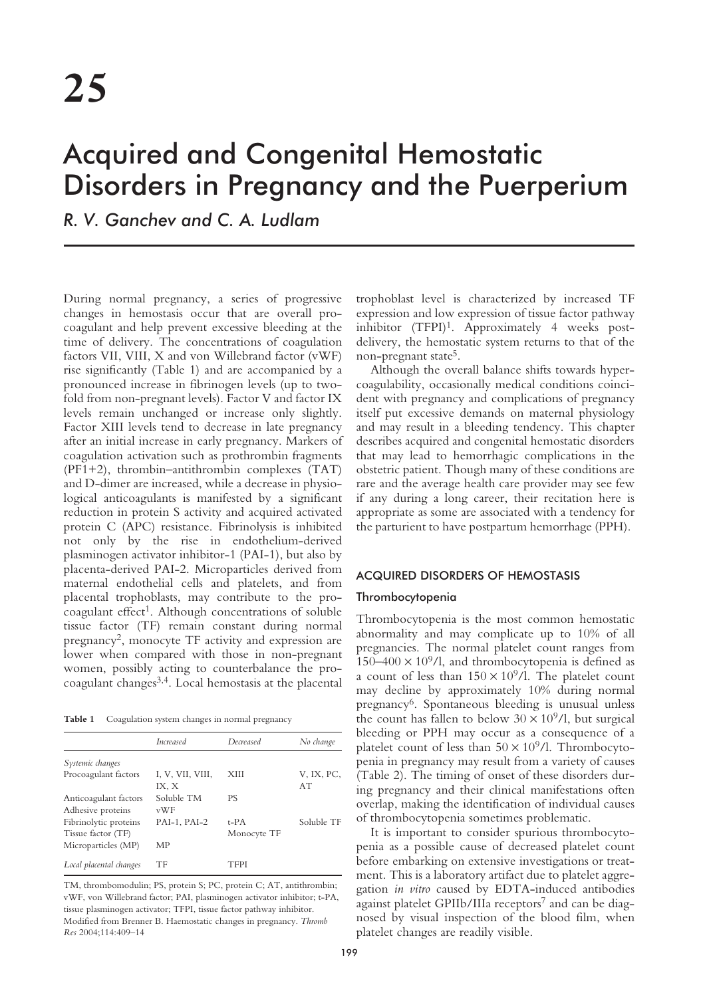# Acquired and Congenital Hemostatic Disorders in Pregnancy and the Puerperium

*R. V. Ganchev and C. A. Ludlam*

During normal pregnancy, a series of progressive changes in hemostasis occur that are overall procoagulant and help prevent excessive bleeding at the time of delivery. The concentrations of coagulation factors VII, VIII, X and von Willebrand factor (vWF) rise significantly (Table 1) and are accompanied by a pronounced increase in fibrinogen levels (up to twofold from non-pregnant levels). Factor V and factor IX levels remain unchanged or increase only slightly. Factor XIII levels tend to decrease in late pregnancy after an initial increase in early pregnancy. Markers of coagulation activation such as prothrombin fragments (PF1+2), thrombin–antithrombin complexes (TAT) and D-dimer are increased, while a decrease in physiological anticoagulants is manifested by a significant reduction in protein S activity and acquired activated protein C (APC) resistance. Fibrinolysis is inhibited not only by the rise in endothelium-derived plasminogen activator inhibitor-1 (PAI-1), but also by placenta-derived PAI-2. Microparticles derived from maternal endothelial cells and platelets, and from placental trophoblasts, may contribute to the procoagulant effect<sup>1</sup>. Although concentrations of soluble tissue factor (TF) remain constant during normal pregnancy2, monocyte TF activity and expression are lower when compared with those in non-pregnant women, possibly acting to counterbalance the procoagulant changes3,4. Local hemostasis at the placental

**Table 1** Coagulation system changes in normal pregnancy

|                                             | <i>Increased</i>          | Decreased             | No change        |
|---------------------------------------------|---------------------------|-----------------------|------------------|
| Systemic changes                            |                           |                       |                  |
| Procoagulant factors                        | I, V, VII, VIII,<br>IX, X | XIII                  | V, IX, PC,<br>AT |
| Anticoagulant factors<br>Adhesive proteins  | Soluble TM<br>vWF         | <b>PS</b>             |                  |
| Fibrinolytic proteins<br>Tissue factor (TF) | PAI-1, PAI-2              | $t-PA$<br>Monocyte TF | Soluble TF       |
| Microparticles (MP)                         | MP                        |                       |                  |
| Local placental changes                     | TF                        | TFPI                  |                  |

TM, thrombomodulin; PS, protein S; PC, protein C; AT, antithrombin; vWF, von Willebrand factor; PAI, plasminogen activator inhibitor; t-PA, tissue plasminogen activator; TFPI, tissue factor pathway inhibitor. Modified from Brenner B. Haemostatic changes in pregnancy. *Thromb Res* 2004;114:409–14

trophoblast level is characterized by increased TF expression and low expression of tissue factor pathway inhibitor (TFPI)<sup>1</sup>. Approximately 4 weeks postdelivery, the hemostatic system returns to that of the non-pregnant state5.

Although the overall balance shifts towards hypercoagulability, occasionally medical conditions coincident with pregnancy and complications of pregnancy itself put excessive demands on maternal physiology and may result in a bleeding tendency. This chapter describes acquired and congenital hemostatic disorders that may lead to hemorrhagic complications in the obstetric patient. Though many of these conditions are rare and the average health care provider may see few if any during a long career, their recitation here is appropriate as some are associated with a tendency for the parturient to have postpartum hemorrhage (PPH).

### ACQUIRED DISORDERS OF HEMOSTASIS

### Thrombocytopenia

Thrombocytopenia is the most common hemostatic abnormality and may complicate up to 10% of all pregnancies. The normal platelet count ranges from  $150-400 \times 10^9$ /l, and thrombocytopenia is defined as a count of less than  $150 \times 10^9$ /l. The platelet count may decline by approximately 10% during normal pregnancy6. Spontaneous bleeding is unusual unless the count has fallen to below  $30 \times 10^9$ /l, but surgical bleeding or PPH may occur as a consequence of a platelet count of less than  $50 \times 10^9$ /l. Thrombocytopenia in pregnancy may result from a variety of causes (Table 2). The timing of onset of these disorders during pregnancy and their clinical manifestations often overlap, making the identification of individual causes of thrombocytopenia sometimes problematic.

It is important to consider spurious thrombocytopenia as a possible cause of decreased platelet count before embarking on extensive investigations or treatment. This is a laboratory artifact due to platelet aggregation *in vitro* caused by EDTA-induced antibodies against platelet GPIIb/IIIa receptors<sup>7</sup> and can be diagnosed by visual inspection of the blood film, when platelet changes are readily visible.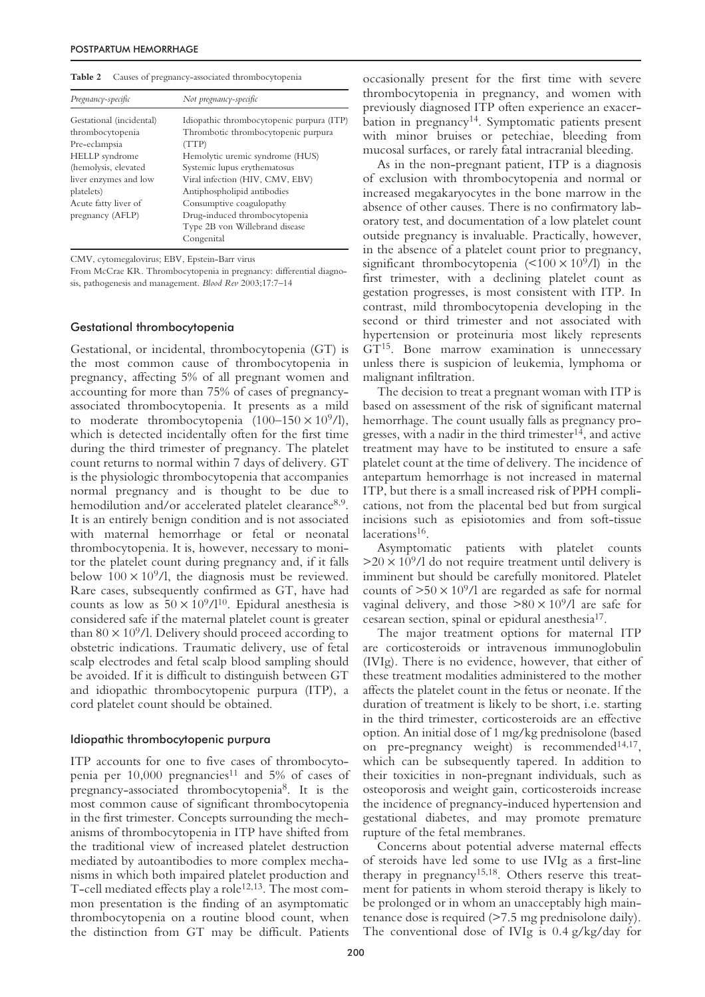| Pregnancy-specific       | Not pregnancy-specific                    |
|--------------------------|-------------------------------------------|
| Gestational (incidental) | Idiopathic thrombocytopenic purpura (ITP) |
| thrombocytopenia         | Thrombotic thrombocytopenic purpura       |
| Pre-eclampsia            | (TTP)                                     |
| HELLP syndrome           | Hemolytic uremic syndrome (HUS)           |
| (hemolysis, elevated     | Systemic lupus erythematosus              |
| liver enzymes and low    | Viral infection (HIV, CMV, EBV)           |
| platelets)               | Antiphospholipid antibodies               |
| Acute fatty liver of     | Consumptive coagulopathy                  |
| pregnancy (AFLP)         | Drug-induced thrombocytopenia             |
|                          | Type 2B von Willebrand disease            |
|                          | Congenital                                |

**Table 2** Causes of pregnancy-associated thrombocytopenia

CMV, cytomegalovirus; EBV, Epstein-Barr virus

From McCrae KR. Thrombocytopenia in pregnancy: differential diagnosis, pathogenesis and management. *Blood Rev* 2003;17:7–14

#### Gestational thrombocytopenia

Gestational, or incidental, thrombocytopenia (GT) is the most common cause of thrombocytopenia in pregnancy, affecting 5% of all pregnant women and accounting for more than 75% of cases of pregnancyassociated thrombocytopenia. It presents as a mild to moderate thrombocytopenia  $(100-150 \times 10^9/l)$ , which is detected incidentally often for the first time during the third trimester of pregnancy. The platelet count returns to normal within 7 days of delivery. GT is the physiologic thrombocytopenia that accompanies normal pregnancy and is thought to be due to hemodilution and/or accelerated platelet clearance<sup>8,9</sup>. It is an entirely benign condition and is not associated with maternal hemorrhage or fetal or neonatal thrombocytopenia. It is, however, necessary to monitor the platelet count during pregnancy and, if it falls below  $100 \times 10^9$ /l, the diagnosis must be reviewed. Rare cases, subsequently confirmed as GT, have had counts as low as  $50 \times 10^9 / 1^{10}$ . Epidural anesthesia is considered safe if the maternal platelet count is greater than  $80 \times 10^9$ /l. Delivery should proceed according to obstetric indications. Traumatic delivery, use of fetal scalp electrodes and fetal scalp blood sampling should be avoided. If it is difficult to distinguish between GT and idiopathic thrombocytopenic purpura (ITP), a cord platelet count should be obtained.

#### Idiopathic thrombocytopenic purpura

ITP accounts for one to five cases of thrombocytopenia per  $10,000$  pregnancies<sup>11</sup> and 5% of cases of pregnancy-associated thrombocytopenia8. It is the most common cause of significant thrombocytopenia in the first trimester. Concepts surrounding the mechanisms of thrombocytopenia in ITP have shifted from the traditional view of increased platelet destruction mediated by autoantibodies to more complex mechanisms in which both impaired platelet production and T-cell mediated effects play a role<sup>12,13</sup>. The most common presentation is the finding of an asymptomatic thrombocytopenia on a routine blood count, when the distinction from GT may be difficult. Patients

occasionally present for the first time with severe thrombocytopenia in pregnancy, and women with previously diagnosed ITP often experience an exacerbation in pregnancy<sup>14</sup>. Symptomatic patients present with minor bruises or petechiae, bleeding from mucosal surfaces, or rarely fatal intracranial bleeding.

As in the non-pregnant patient, ITP is a diagnosis of exclusion with thrombocytopenia and normal or increased megakaryocytes in the bone marrow in the absence of other causes. There is no confirmatory laboratory test, and documentation of a low platelet count outside pregnancy is invaluable. Practically, however, in the absence of a platelet count prior to pregnancy, significant thrombocytopenia  $\left($  <100  $\times$  10<sup>9</sup>/l) in the first trimester, with a declining platelet count as gestation progresses, is most consistent with ITP. In contrast, mild thrombocytopenia developing in the second or third trimester and not associated with hypertension or proteinuria most likely represents  $GT<sup>15</sup>$ . Bone marrow examination is unnecessary unless there is suspicion of leukemia, lymphoma or malignant infiltration.

The decision to treat a pregnant woman with ITP is based on assessment of the risk of significant maternal hemorrhage. The count usually falls as pregnancy progresses, with a nadir in the third trimester<sup>14</sup>, and active treatment may have to be instituted to ensure a safe platelet count at the time of delivery. The incidence of antepartum hemorrhage is not increased in maternal ITP, but there is a small increased risk of PPH complications, not from the placental bed but from surgical incisions such as episiotomies and from soft-tissue lacerations<sup>16</sup>.

Asymptomatic patients with platelet counts  $>20 \times 10^9$ /l do not require treatment until delivery is imminent but should be carefully monitored. Platelet counts of  $>50 \times 10^9$ /l are regarded as safe for normal vaginal delivery, and those  $>80 \times 10^9/1$  are safe for cesarean section, spinal or epidural anesthesia17.

The major treatment options for maternal ITP are corticosteroids or intravenous immunoglobulin (IVIg). There is no evidence, however, that either of these treatment modalities administered to the mother affects the platelet count in the fetus or neonate. If the duration of treatment is likely to be short, i.e. starting in the third trimester, corticosteroids are an effective option. An initial dose of 1 mg/kg prednisolone (based on pre-pregnancy weight) is recommended<sup>14,17</sup>, which can be subsequently tapered. In addition to their toxicities in non-pregnant individuals, such as osteoporosis and weight gain, corticosteroids increase the incidence of pregnancy-induced hypertension and gestational diabetes, and may promote premature rupture of the fetal membranes.

Concerns about potential adverse maternal effects of steroids have led some to use IVIg as a first-line therapy in pregnancy15,18. Others reserve this treatment for patients in whom steroid therapy is likely to be prolonged or in whom an unacceptably high maintenance dose is required (>7.5 mg prednisolone daily). The conventional dose of IVIg is 0.4 g/kg/day for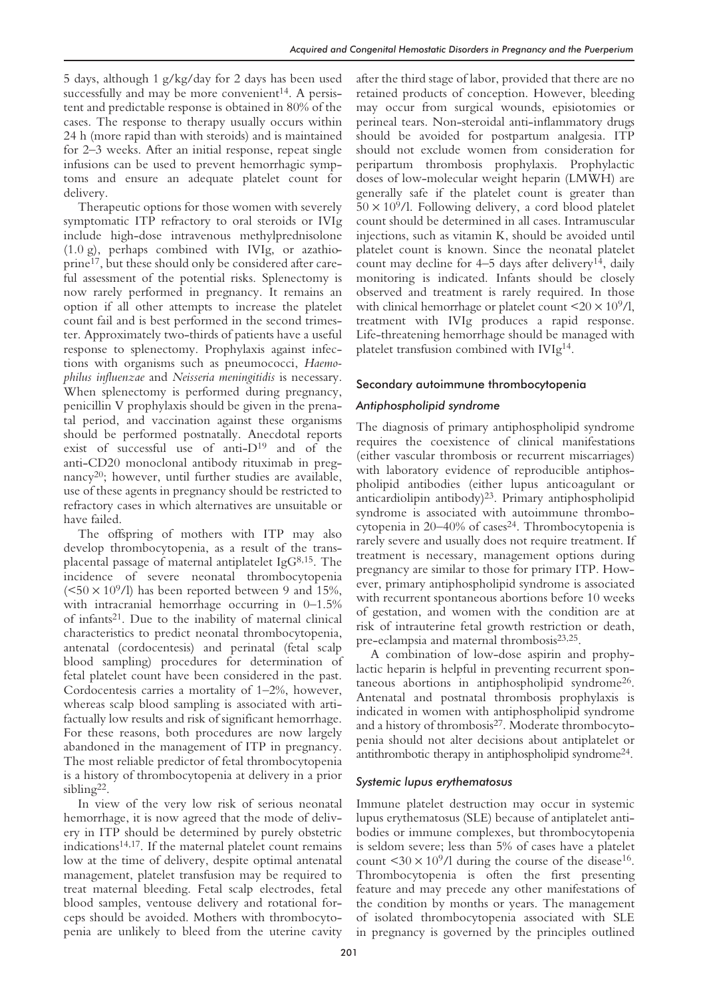5 days, although 1 g/kg/day for 2 days has been used successfully and may be more convenient $14$ . A persistent and predictable response is obtained in 80% of the cases. The response to therapy usually occurs within 24 h (more rapid than with steroids) and is maintained for 2–3 weeks. After an initial response, repeat single infusions can be used to prevent hemorrhagic symptoms and ensure an adequate platelet count for delivery.

Therapeutic options for those women with severely symptomatic ITP refractory to oral steroids or IVIg include high-dose intravenous methylprednisolone (1.0 g), perhaps combined with IVIg, or azathioprine17, but these should only be considered after careful assessment of the potential risks. Splenectomy is now rarely performed in pregnancy. It remains an option if all other attempts to increase the platelet count fail and is best performed in the second trimester. Approximately two-thirds of patients have a useful response to splenectomy. Prophylaxis against infections with organisms such as pneumococci, *Haemophilus influenzae* and *Neisseria meningitidis* is necessary. When splenectomy is performed during pregnancy, penicillin V prophylaxis should be given in the prenatal period, and vaccination against these organisms should be performed postnatally. Anecdotal reports exist of successful use of anti-D19 and of the anti-CD20 monoclonal antibody rituximab in pregnancy20; however, until further studies are available, use of these agents in pregnancy should be restricted to refractory cases in which alternatives are unsuitable or have failed.

The offspring of mothers with ITP may also develop thrombocytopenia, as a result of the transplacental passage of maternal antiplatelet Ig $G^{8,15}$ . The incidence of severe neonatal thrombocytopenia  $(<50 \times 10^9$ /l) has been reported between 9 and 15%, with intracranial hemorrhage occurring in  $0-1.5%$ of infants21. Due to the inability of maternal clinical characteristics to predict neonatal thrombocytopenia, antenatal (cordocentesis) and perinatal (fetal scalp blood sampling) procedures for determination of fetal platelet count have been considered in the past. Cordocentesis carries a mortality of 1–2%, however, whereas scalp blood sampling is associated with artifactually low results and risk of significant hemorrhage. For these reasons, both procedures are now largely abandoned in the management of ITP in pregnancy. The most reliable predictor of fetal thrombocytopenia is a history of thrombocytopenia at delivery in a prior sibling22.

In view of the very low risk of serious neonatal hemorrhage, it is now agreed that the mode of delivery in ITP should be determined by purely obstetric indications14,17. If the maternal platelet count remains low at the time of delivery, despite optimal antenatal management, platelet transfusion may be required to treat maternal bleeding. Fetal scalp electrodes, fetal blood samples, ventouse delivery and rotational forceps should be avoided. Mothers with thrombocytopenia are unlikely to bleed from the uterine cavity after the third stage of labor, provided that there are no retained products of conception. However, bleeding may occur from surgical wounds, episiotomies or perineal tears. Non-steroidal anti-inflammatory drugs should be avoided for postpartum analgesia. ITP should not exclude women from consideration for peripartum thrombosis prophylaxis. Prophylactic doses of low-molecular weight heparin (LMWH) are generally safe if the platelet count is greater than  $50 \times 10^9$ /l. Following delivery, a cord blood platelet count should be determined in all cases. Intramuscular injections, such as vitamin K, should be avoided until platelet count is known. Since the neonatal platelet count may decline for  $4-5$  days after delivery<sup>14</sup>, daily monitoring is indicated. Infants should be closely observed and treatment is rarely required. In those with clinical hemorrhage or platelet count  $\langle 20 \times 10^9 / l \rangle$ , treatment with IVIg produces a rapid response. Life-threatening hemorrhage should be managed with platelet transfusion combined with IVIg<sup>14</sup>.

# Secondary autoimmune thrombocytopenia

# *Antiphospholipid syndrome*

The diagnosis of primary antiphospholipid syndrome requires the coexistence of clinical manifestations (either vascular thrombosis or recurrent miscarriages) with laboratory evidence of reproducible antiphospholipid antibodies (either lupus anticoagulant or anticardiolipin antibody)23. Primary antiphospholipid syndrome is associated with autoimmune thrombocytopenia in  $20-40\%$  of cases<sup>24</sup>. Thrombocytopenia is rarely severe and usually does not require treatment. If treatment is necessary, management options during pregnancy are similar to those for primary ITP. However, primary antiphospholipid syndrome is associated with recurrent spontaneous abortions before 10 weeks of gestation, and women with the condition are at risk of intrauterine fetal growth restriction or death, pre-eclampsia and maternal thrombosis<sup>23,25</sup>.

A combination of low-dose aspirin and prophylactic heparin is helpful in preventing recurrent spontaneous abortions in antiphospholipid syndrome26. Antenatal and postnatal thrombosis prophylaxis is indicated in women with antiphospholipid syndrome and a history of thrombosis<sup>27</sup>. Moderate thrombocytopenia should not alter decisions about antiplatelet or antithrombotic therapy in antiphospholipid syndrome24.

## *Systemic lupus erythematosus*

Immune platelet destruction may occur in systemic lupus erythematosus (SLE) because of antiplatelet antibodies or immune complexes, but thrombocytopenia is seldom severe; less than 5% of cases have a platelet count  $\langle 30 \times 10^9 / 1$  during the course of the disease<sup>16</sup>. Thrombocytopenia is often the first presenting feature and may precede any other manifestations of the condition by months or years. The management of isolated thrombocytopenia associated with SLE in pregnancy is governed by the principles outlined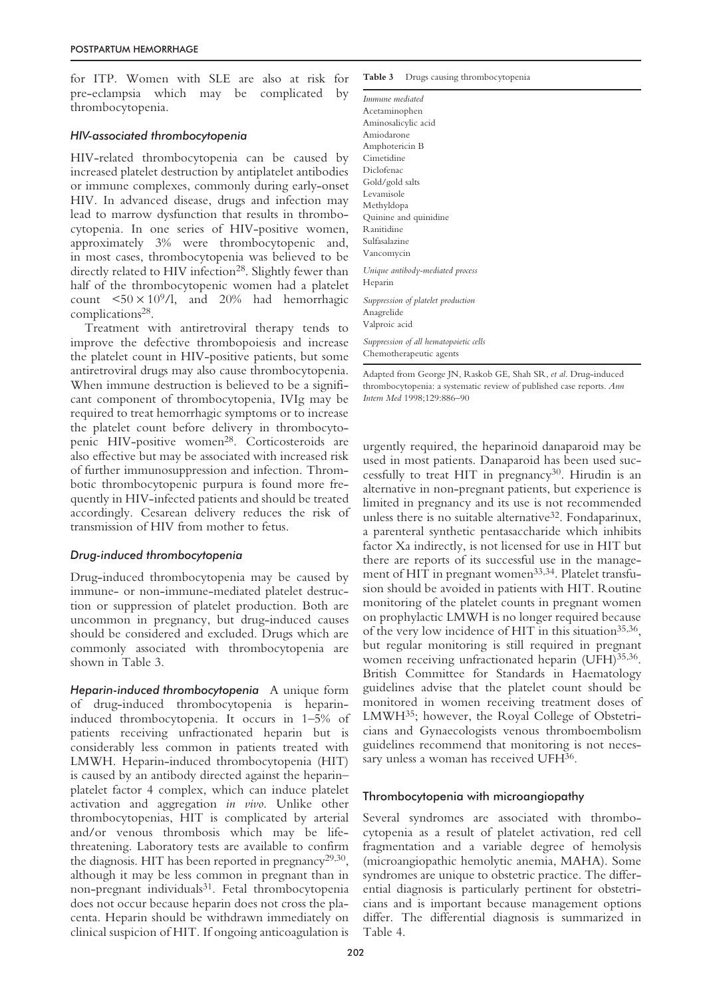for ITP. Women with SLE are also at risk for pre-eclampsia which may be complicated by thrombocytopenia.

#### *HIV-associated thrombocytopenia*

HIV-related thrombocytopenia can be caused by increased platelet destruction by antiplatelet antibodies or immune complexes, commonly during early-onset HIV. In advanced disease, drugs and infection may lead to marrow dysfunction that results in thrombocytopenia. In one series of HIV-positive women, approximately 3% were thrombocytopenic and, in most cases, thrombocytopenia was believed to be directly related to HIV infection<sup>28</sup>. Slightly fewer than half of the thrombocytopenic women had a platelet count  $\leq 50 \times 10^9$ /l, and 20% had hemorrhagic complications28.

Treatment with antiretroviral therapy tends to improve the defective thrombopoiesis and increase the platelet count in HIV-positive patients, but some antiretroviral drugs may also cause thrombocytopenia. When immune destruction is believed to be a significant component of thrombocytopenia, IVIg may be required to treat hemorrhagic symptoms or to increase the platelet count before delivery in thrombocytopenic HIV-positive women28. Corticosteroids are also effective but may be associated with increased risk of further immunosuppression and infection. Thrombotic thrombocytopenic purpura is found more frequently in HIV-infected patients and should be treated accordingly. Cesarean delivery reduces the risk of transmission of HIV from mother to fetus.

### *Drug-induced thrombocytopenia*

Drug-induced thrombocytopenia may be caused by immune- or non-immune-mediated platelet destruction or suppression of platelet production. Both are uncommon in pregnancy, but drug-induced causes should be considered and excluded. Drugs which are commonly associated with thrombocytopenia are shown in Table 3.

*Heparin-induced thrombocytopenia* A unique form of drug-induced thrombocytopenia is heparininduced thrombocytopenia. It occurs in 1–5% of patients receiving unfractionated heparin but is considerably less common in patients treated with LMWH. Heparin-induced thrombocytopenia (HIT) is caused by an antibody directed against the heparin– platelet factor 4 complex, which can induce platelet activation and aggregation *in vivo*. Unlike other thrombocytopenias, HIT is complicated by arterial and/or venous thrombosis which may be lifethreatening. Laboratory tests are available to confirm the diagnosis. HIT has been reported in pregnancy<sup>29,30</sup>, although it may be less common in pregnant than in non-pregnant individuals<sup>31</sup>. Fetal thrombocytopenia does not occur because heparin does not cross the placenta. Heparin should be withdrawn immediately on clinical suspicion of HIT. If ongoing anticoagulation is

#### **Table 3** Drugs causing thrombocytopenia

| Immune mediated                                                   |
|-------------------------------------------------------------------|
| Acetaminophen                                                     |
| Aminosalicylic acid                                               |
| Amiodarone                                                        |
| Amphotericin B                                                    |
| Cimetidine                                                        |
| Diclofenac                                                        |
| Gold/gold salts                                                   |
| Levamisole                                                        |
| Methyldopa                                                        |
| Quinine and quinidine                                             |
| Ranitidine                                                        |
| Sulfasalazine                                                     |
| Vancomycin                                                        |
| Unique antibody-mediated process<br>Heparin                       |
| Suppression of platelet production<br>Anagrelide<br>Valproic acid |
| Suppression of all hematopoietic cells<br>Chemotherapeutic agents |
|                                                                   |

Adapted from George JN, Raskob GE, Shah SR, *et al*. Drug-induced thrombocytopenia: a systematic review of published case reports. *Ann Intern Med* 1998;129:886–90

urgently required, the heparinoid danaparoid may be used in most patients. Danaparoid has been used successfully to treat HIT in pregnancy<sup>30</sup>. Hirudin is an alternative in non-pregnant patients, but experience is limited in pregnancy and its use is not recommended unless there is no suitable alternative32. Fondaparinux, a parenteral synthetic pentasaccharide which inhibits factor Xa indirectly, is not licensed for use in HIT but there are reports of its successful use in the management of HIT in pregnant women<sup>33,34</sup>. Platelet transfusion should be avoided in patients with HIT. Routine monitoring of the platelet counts in pregnant women on prophylactic LMWH is no longer required because of the very low incidence of HIT in this situation<sup>35,36</sup>. but regular monitoring is still required in pregnant women receiving unfractionated heparin (UFH)<sup>35,36</sup>. British Committee for Standards in Haematology guidelines advise that the platelet count should be monitored in women receiving treatment doses of LMWH35; however, the Royal College of Obstetricians and Gynaecologists venous thromboembolism guidelines recommend that monitoring is not necessary unless a woman has received UFH<sup>36</sup>.

#### Thrombocytopenia with microangiopathy

Several syndromes are associated with thrombocytopenia as a result of platelet activation, red cell fragmentation and a variable degree of hemolysis (microangiopathic hemolytic anemia, MAHA). Some syndromes are unique to obstetric practice. The differential diagnosis is particularly pertinent for obstetricians and is important because management options differ. The differential diagnosis is summarized in Table 4.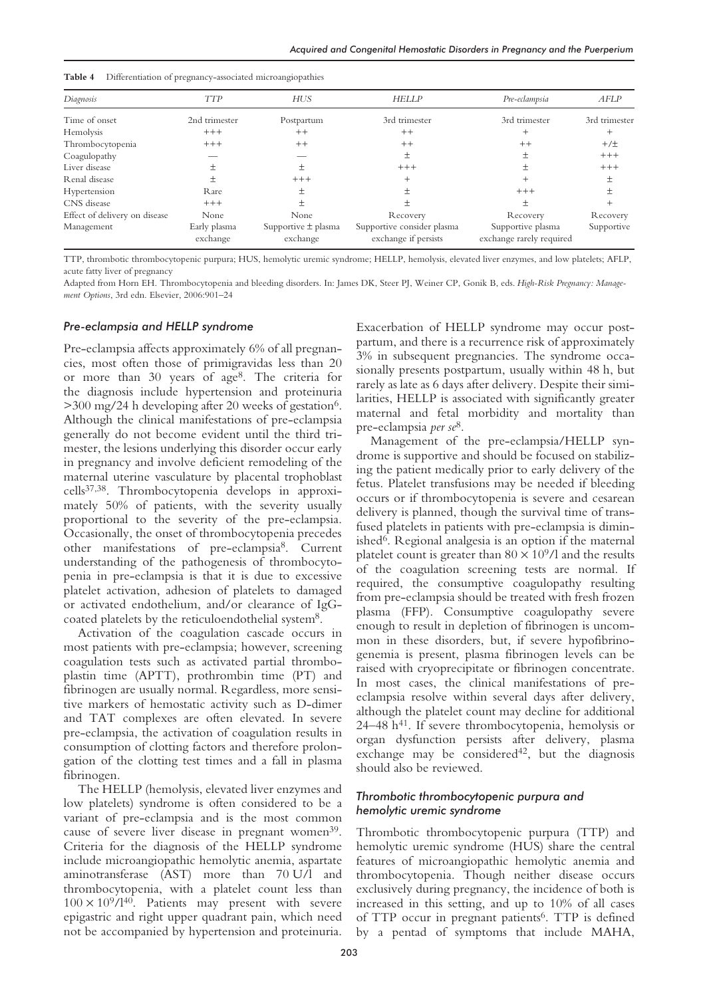| Diagnosis                     | <b>TTP</b>               | <b>HUS</b>                          | <b>HELLP</b>                                       | Pre-eclampsia                                 | AFLP          |
|-------------------------------|--------------------------|-------------------------------------|----------------------------------------------------|-----------------------------------------------|---------------|
| Time of onset                 | 2nd trimester            | Postpartum                          | 3rd trimester                                      | 3rd trimester                                 | 3rd trimester |
| Hemolysis                     | $+++$                    | $^{++}$                             | $++$                                               | $^{+}$                                        |               |
| Thrombocytopenia              | $+++$                    | $^{++}$                             | $++$                                               | $^{++}$                                       | $+/\pm$       |
| Coagulopathy                  |                          |                                     | 土                                                  | 土                                             | $+++$         |
| Liver disease                 | $^{\mathrm{+}}$          |                                     | $+++$                                              | 土                                             | $+++$         |
| Renal disease                 |                          | $+++$                               | $^+$                                               | $^{+}$                                        |               |
| Hypertension                  | Rare                     | 土                                   | $^+$                                               | $+++$                                         |               |
| CNS disease                   | $+++$                    |                                     |                                                    | 土                                             | $^+$          |
| Effect of delivery on disease | None                     | None                                | Recovery                                           | Recovery                                      | Recovery      |
| Management                    | Early plasma<br>exchange | Supportive $\pm$ plasma<br>exchange | Supportive consider plasma<br>exchange if persists | Supportive plasma<br>exchange rarely required | Supportive    |

**Table 4** Differentiation of pregnancy-associated microangiopathies

TTP, thrombotic thrombocytopenic purpura; HUS, hemolytic uremic syndrome; HELLP, hemolysis, elevated liver enzymes, and low platelets; AFLP, acute fatty liver of pregnancy

Adapted from Horn EH. Thrombocytopenia and bleeding disorders. In: James DK, Steer PJ, Weiner CP, Gonik B, eds. *High-Risk Pregnancy: Management Options*, 3rd edn. Elsevier, 2006:901–24

#### *Pre-eclampsia and HELLP syndrome*

Pre-eclampsia affects approximately 6% of all pregnancies, most often those of primigravidas less than 20 or more than 30 years of age8. The criteria for the diagnosis include hypertension and proteinuria  $>$ 300 mg/24 h developing after 20 weeks of gestation<sup>6</sup>. Although the clinical manifestations of pre-eclampsia generally do not become evident until the third trimester, the lesions underlying this disorder occur early in pregnancy and involve deficient remodeling of the maternal uterine vasculature by placental trophoblast cells37,38. Thrombocytopenia develops in approximately 50% of patients, with the severity usually proportional to the severity of the pre-eclampsia. Occasionally, the onset of thrombocytopenia precedes other manifestations of pre-eclampsia8. Current understanding of the pathogenesis of thrombocytopenia in pre-eclampsia is that it is due to excessive platelet activation, adhesion of platelets to damaged or activated endothelium, and/or clearance of IgGcoated platelets by the reticuloendothelial system8.

Activation of the coagulation cascade occurs in most patients with pre-eclampsia; however, screening coagulation tests such as activated partial thromboplastin time (APTT), prothrombin time (PT) and fibrinogen are usually normal. Regardless, more sensitive markers of hemostatic activity such as D-dimer and TAT complexes are often elevated. In severe pre-eclampsia, the activation of coagulation results in consumption of clotting factors and therefore prolongation of the clotting test times and a fall in plasma fibrinogen.

The HELLP (hemolysis, elevated liver enzymes and low platelets) syndrome is often considered to be a variant of pre-eclampsia and is the most common cause of severe liver disease in pregnant women<sup>39</sup>. Criteria for the diagnosis of the HELLP syndrome include microangiopathic hemolytic anemia, aspartate aminotransferase (AST) more than 70 U/l and thrombocytopenia, with a platelet count less than  $100 \times 10^9 / 1^{40}$ . Patients may present with severe epigastric and right upper quadrant pain, which need not be accompanied by hypertension and proteinuria. Exacerbation of HELLP syndrome may occur postpartum, and there is a recurrence risk of approximately 3% in subsequent pregnancies. The syndrome occasionally presents postpartum, usually within 48 h, but rarely as late as 6 days after delivery. Despite their similarities, HELLP is associated with significantly greater maternal and fetal morbidity and mortality than pre-eclampsia *per se*8.

Management of the pre-eclampsia/HELLP syndrome is supportive and should be focused on stabilizing the patient medically prior to early delivery of the fetus. Platelet transfusions may be needed if bleeding occurs or if thrombocytopenia is severe and cesarean delivery is planned, though the survival time of transfused platelets in patients with pre-eclampsia is diminished<sup>6</sup>. Regional analgesia is an option if the maternal platelet count is greater than  $80 \times 10^9$ /l and the results of the coagulation screening tests are normal. If required, the consumptive coagulopathy resulting from pre-eclampsia should be treated with fresh frozen plasma (FFP). Consumptive coagulopathy severe enough to result in depletion of fibrinogen is uncommon in these disorders, but, if severe hypofibrinogenemia is present, plasma fibrinogen levels can be raised with cryoprecipitate or fibrinogen concentrate. In most cases, the clinical manifestations of preeclampsia resolve within several days after delivery, although the platelet count may decline for additional  $24-48$  h<sup>41</sup>. If severe thrombocytopenia, hemolysis or organ dysfunction persists after delivery, plasma exchange may be considered<sup>42</sup>, but the diagnosis should also be reviewed.

## *Thrombotic thrombocytopenic purpura and hemolytic uremic syndrome*

Thrombotic thrombocytopenic purpura (TTP) and hemolytic uremic syndrome (HUS) share the central features of microangiopathic hemolytic anemia and thrombocytopenia. Though neither disease occurs exclusively during pregnancy, the incidence of both is increased in this setting, and up to 10% of all cases of TTP occur in pregnant patients<sup>6</sup>. TTP is defined by a pentad of symptoms that include MAHA,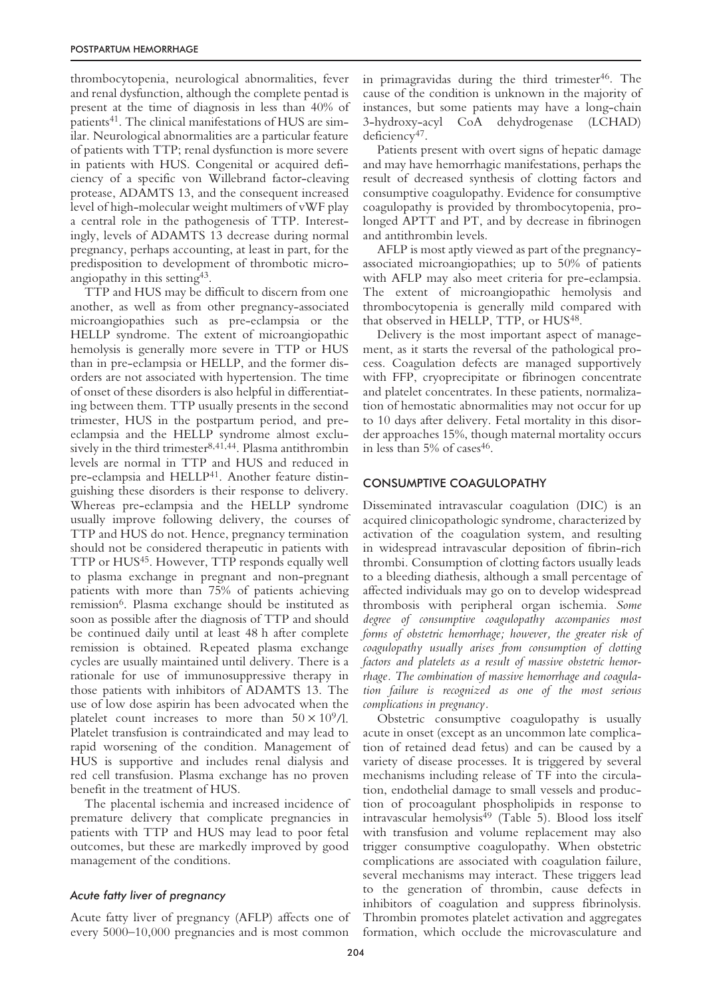thrombocytopenia, neurological abnormalities, fever and renal dysfunction, although the complete pentad is present at the time of diagnosis in less than 40% of patients<sup>41</sup>. The clinical manifestations of HUS are similar. Neurological abnormalities are a particular feature of patients with TTP; renal dysfunction is more severe in patients with HUS. Congenital or acquired deficiency of a specific von Willebrand factor-cleaving protease, ADAMTS 13, and the consequent increased level of high-molecular weight multimers of vWF play a central role in the pathogenesis of TTP. Interestingly, levels of ADAMTS 13 decrease during normal pregnancy, perhaps accounting, at least in part, for the predisposition to development of thrombotic microangiopathy in this setting43.

TTP and HUS may be difficult to discern from one another, as well as from other pregnancy-associated microangiopathies such as pre-eclampsia or the HELLP syndrome. The extent of microangiopathic hemolysis is generally more severe in TTP or HUS than in pre-eclampsia or HELLP, and the former disorders are not associated with hypertension. The time of onset of these disorders is also helpful in differentiating between them. TTP usually presents in the second trimester, HUS in the postpartum period, and preeclampsia and the HELLP syndrome almost exclusively in the third trimester $8,41,44$ . Plasma antithrombin levels are normal in TTP and HUS and reduced in pre-eclampsia and HELLP<sup>41</sup>. Another feature distinguishing these disorders is their response to delivery. Whereas pre-eclampsia and the HELLP syndrome usually improve following delivery, the courses of TTP and HUS do not. Hence, pregnancy termination should not be considered therapeutic in patients with TTP or HUS45. However, TTP responds equally well to plasma exchange in pregnant and non-pregnant patients with more than 75% of patients achieving remission6. Plasma exchange should be instituted as soon as possible after the diagnosis of TTP and should be continued daily until at least 48 h after complete remission is obtained. Repeated plasma exchange cycles are usually maintained until delivery. There is a rationale for use of immunosuppressive therapy in those patients with inhibitors of ADAMTS 13. The use of low dose aspirin has been advocated when the platelet count increases to more than  $50 \times 10^9$ /l. Platelet transfusion is contraindicated and may lead to rapid worsening of the condition. Management of HUS is supportive and includes renal dialysis and red cell transfusion. Plasma exchange has no proven benefit in the treatment of HUS.

The placental ischemia and increased incidence of premature delivery that complicate pregnancies in patients with TTP and HUS may lead to poor fetal outcomes, but these are markedly improved by good management of the conditions.

### *Acute fatty liver of pregnancy*

Acute fatty liver of pregnancy (AFLP) affects one of every 5000–10,000 pregnancies and is most common

in primagravidas during the third trimester<sup>46</sup>. The cause of the condition is unknown in the majority of instances, but some patients may have a long-chain 3-hydroxy-acyl CoA dehydrogenase (LCHAD) deficiency<sup>47</sup>.

Patients present with overt signs of hepatic damage and may have hemorrhagic manifestations, perhaps the result of decreased synthesis of clotting factors and consumptive coagulopathy. Evidence for consumptive coagulopathy is provided by thrombocytopenia, prolonged APTT and PT, and by decrease in fibrinogen and antithrombin levels.

AFLP is most aptly viewed as part of the pregnancyassociated microangiopathies; up to 50% of patients with AFLP may also meet criteria for pre-eclampsia. The extent of microangiopathic hemolysis and thrombocytopenia is generally mild compared with that observed in HELLP, TTP, or HUS<sup>48</sup>.

Delivery is the most important aspect of management, as it starts the reversal of the pathological process. Coagulation defects are managed supportively with FFP, cryoprecipitate or fibrinogen concentrate and platelet concentrates. In these patients, normalization of hemostatic abnormalities may not occur for up to 10 days after delivery. Fetal mortality in this disorder approaches 15%, though maternal mortality occurs in less than 5% of cases<sup>46</sup>.

## CONSUMPTIVE COAGULOPATHY

Disseminated intravascular coagulation (DIC) is an acquired clinicopathologic syndrome, characterized by activation of the coagulation system, and resulting in widespread intravascular deposition of fibrin-rich thrombi. Consumption of clotting factors usually leads to a bleeding diathesis, although a small percentage of affected individuals may go on to develop widespread thrombosis with peripheral organ ischemia. *Some degree of consumptive coagulopathy accompanies most forms of obstetric hemorrhage; however, the greater risk of coagulopathy usually arises from consumption of clotting factors and platelets as a result of massive obstetric hemorrhage. The combination of massive hemorrhage and coagulation failure is recognized as one of the most serious complications in pregnancy.*

Obstetric consumptive coagulopathy is usually acute in onset (except as an uncommon late complication of retained dead fetus) and can be caused by a variety of disease processes. It is triggered by several mechanisms including release of TF into the circulation, endothelial damage to small vessels and production of procoagulant phospholipids in response to intravascular hemolysis<sup>49</sup> (Table 5). Blood loss itself with transfusion and volume replacement may also trigger consumptive coagulopathy. When obstetric complications are associated with coagulation failure, several mechanisms may interact. These triggers lead to the generation of thrombin, cause defects in inhibitors of coagulation and suppress fibrinolysis. Thrombin promotes platelet activation and aggregates formation, which occlude the microvasculature and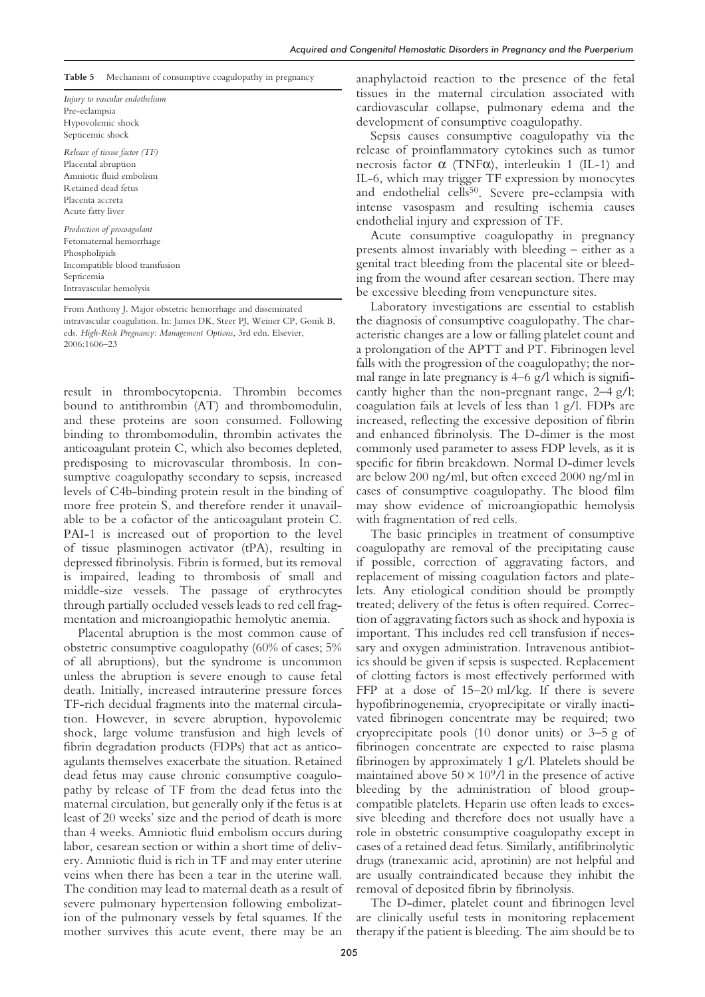| Table 5<br>Mechanism of consumptive coagulopathy in pregnancy |  |  |
|---------------------------------------------------------------|--|--|
|---------------------------------------------------------------|--|--|

| Injury to vascular endothelium<br>Pre-eclampsia<br>Hypovolemic shock<br>Septicemic shock                                                          |
|---------------------------------------------------------------------------------------------------------------------------------------------------|
| Release of tissue factor (TF)<br>Placental abruption<br>Amniotic fluid embolism<br>Retained dead fetus<br>Placenta accreta<br>Acute fatty liver   |
| Production of procoagulant<br>Fetomaternal hemorrhage<br>Phospholipids<br>Incompatible blood transfusion<br>Septicemia<br>Intravascular hemolysis |

From Anthony J. Major obstetric hemorrhage and disseminated intravascular coagulation. In: James DK, Steer PJ, Weiner CP, Gonik B, eds. *High-Risk Pregnancy: Management Options*, 3rd edn. Elsevier, 2006:1606–23

result in thrombocytopenia. Thrombin becomes bound to antithrombin (AT) and thrombomodulin, and these proteins are soon consumed. Following binding to thrombomodulin, thrombin activates the anticoagulant protein C, which also becomes depleted, predisposing to microvascular thrombosis. In consumptive coagulopathy secondary to sepsis, increased levels of C4b-binding protein result in the binding of more free protein S, and therefore render it unavailable to be a cofactor of the anticoagulant protein C. PAI-1 is increased out of proportion to the level of tissue plasminogen activator (tPA), resulting in depressed fibrinolysis. Fibrin is formed, but its removal is impaired, leading to thrombosis of small and middle-size vessels. The passage of erythrocytes through partially occluded vessels leads to red cell fragmentation and microangiopathic hemolytic anemia.

Placental abruption is the most common cause of obstetric consumptive coagulopathy (60% of cases; 5% of all abruptions), but the syndrome is uncommon unless the abruption is severe enough to cause fetal death. Initially, increased intrauterine pressure forces TF-rich decidual fragments into the maternal circulation. However, in severe abruption, hypovolemic shock, large volume transfusion and high levels of fibrin degradation products (FDPs) that act as anticoagulants themselves exacerbate the situation. Retained dead fetus may cause chronic consumptive coagulopathy by release of TF from the dead fetus into the maternal circulation, but generally only if the fetus is at least of 20 weeks' size and the period of death is more than 4 weeks. Amniotic fluid embolism occurs during labor, cesarean section or within a short time of delivery. Amniotic fluid is rich in TF and may enter uterine veins when there has been a tear in the uterine wall. The condition may lead to maternal death as a result of severe pulmonary hypertension following embolization of the pulmonary vessels by fetal squames. If the mother survives this acute event, there may be an

anaphylactoid reaction to the presence of the fetal tissues in the maternal circulation associated with cardiovascular collapse, pulmonary edema and the development of consumptive coagulopathy.

Sepsis causes consumptive coagulopathy via the release of proinflammatory cytokines such as tumor necrosis factor  $α$  (TNF $α$ ), interleukin 1 (IL-1) and IL-6, which may trigger TF expression by monocytes and endothelial cells<sup>50</sup>. Severe pre-eclampsia with intense vasospasm and resulting ischemia causes endothelial injury and expression of TF.

Acute consumptive coagulopathy in pregnancy presents almost invariably with bleeding – either as a genital tract bleeding from the placental site or bleeding from the wound after cesarean section. There may be excessive bleeding from venepuncture sites.

Laboratory investigations are essential to establish the diagnosis of consumptive coagulopathy. The characteristic changes are a low or falling platelet count and a prolongation of the APTT and PT. Fibrinogen level falls with the progression of the coagulopathy; the normal range in late pregnancy is 4–6 g/l which is significantly higher than the non-pregnant range, 2–4 g/l; coagulation fails at levels of less than 1 g/l. FDPs are increased, reflecting the excessive deposition of fibrin and enhanced fibrinolysis. The D-dimer is the most commonly used parameter to assess FDP levels, as it is specific for fibrin breakdown. Normal D-dimer levels are below 200 ng/ml, but often exceed 2000 ng/ml in cases of consumptive coagulopathy. The blood film may show evidence of microangiopathic hemolysis with fragmentation of red cells.

The basic principles in treatment of consumptive coagulopathy are removal of the precipitating cause if possible, correction of aggravating factors, and replacement of missing coagulation factors and platelets. Any etiological condition should be promptly treated; delivery of the fetus is often required. Correction of aggravating factors such as shock and hypoxia is important. This includes red cell transfusion if necessary and oxygen administration. Intravenous antibiotics should be given if sepsis is suspected. Replacement of clotting factors is most effectively performed with FFP at a dose of 15–20 ml/kg. If there is severe hypofibrinogenemia, cryoprecipitate or virally inactivated fibrinogen concentrate may be required; two cryoprecipitate pools (10 donor units) or 3–5 g of fibrinogen concentrate are expected to raise plasma fibrinogen by approximately 1 g/l. Platelets should be maintained above  $50 \times 10^9$ /l in the presence of active bleeding by the administration of blood groupcompatible platelets. Heparin use often leads to excessive bleeding and therefore does not usually have a role in obstetric consumptive coagulopathy except in cases of a retained dead fetus. Similarly, antifibrinolytic drugs (tranexamic acid, aprotinin) are not helpful and are usually contraindicated because they inhibit the removal of deposited fibrin by fibrinolysis.

The D-dimer, platelet count and fibrinogen level are clinically useful tests in monitoring replacement therapy if the patient is bleeding. The aim should be to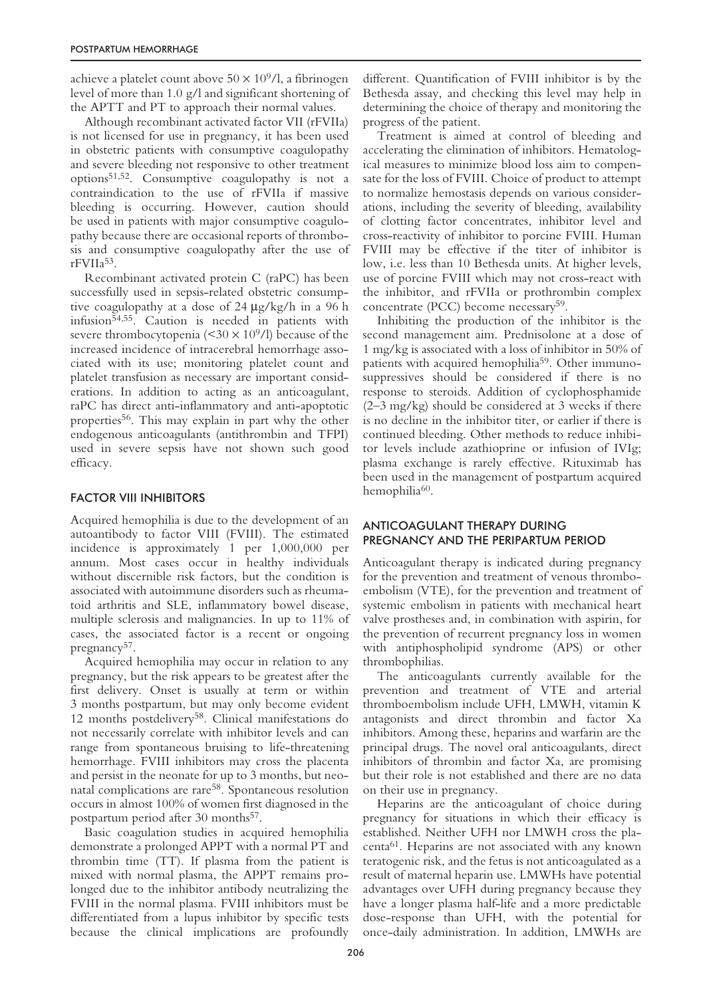achieve a platelet count above  $50 \times 10^9$ /l, a fibrinogen level of more than 1.0 g/l and significant shortening of the APTT and PT to approach their normal values.

Although recombinant activated factor VII (rFVIIa) is not licensed for use in pregnancy, it has been used in obstetric patients with consumptive coagulopathy and severe bleeding not responsive to other treatment options51,52. Consumptive coagulopathy is not a contraindication to the use of rFVIIa if massive bleeding is occurring. However, caution should be used in patients with major consumptive coagulopathy because there are occasional reports of thrombosis and consumptive coagulopathy after the use of rFVIIa53.

Recombinant activated protein C (raPC) has been successfully used in sepsis-related obstetric consumptive coagulopathy at a dose of 24 µg/kg/h in a 96 h infusion54,55. Caution is needed in patients with severe thrombocytopenia ( $\leq 30 \times 10^9$ /l) because of the increased incidence of intracerebral hemorrhage associated with its use; monitoring platelet count and platelet transfusion as necessary are important considerations. In addition to acting as an anticoagulant, raPC has direct anti-inflammatory and anti-apoptotic properties56. This may explain in part why the other endogenous anticoagulants (antithrombin and TFPI) used in severe sepsis have not shown such good efficacy.

## FACTOR VIII INHIBITORS

Acquired hemophilia is due to the development of an autoantibody to factor VIII (FVIII). The estimated incidence is approximately 1 per 1,000,000 per annum. Most cases occur in healthy individuals without discernible risk factors, but the condition is associated with autoimmune disorders such as rheumatoid arthritis and SLE, inflammatory bowel disease, multiple sclerosis and malignancies. In up to 11% of cases, the associated factor is a recent or ongoing pregnancy<sup>57</sup>.

Acquired hemophilia may occur in relation to any pregnancy, but the risk appears to be greatest after the first delivery. Onset is usually at term or within 3 months postpartum, but may only become evident 12 months postdelivery58. Clinical manifestations do not necessarily correlate with inhibitor levels and can range from spontaneous bruising to life-threatening hemorrhage. FVIII inhibitors may cross the placenta and persist in the neonate for up to 3 months, but neonatal complications are rare58. Spontaneous resolution occurs in almost 100% of women first diagnosed in the postpartum period after 30 months<sup>57</sup>.

Basic coagulation studies in acquired hemophilia demonstrate a prolonged APPT with a normal PT and thrombin time (TT). If plasma from the patient is mixed with normal plasma, the APPT remains prolonged due to the inhibitor antibody neutralizing the FVIII in the normal plasma. FVIII inhibitors must be differentiated from a lupus inhibitor by specific tests because the clinical implications are profoundly

different. Quantification of FVIII inhibitor is by the Bethesda assay, and checking this level may help in determining the choice of therapy and monitoring the progress of the patient.

Treatment is aimed at control of bleeding and accelerating the elimination of inhibitors. Hematological measures to minimize blood loss aim to compensate for the loss of FVIII. Choice of product to attempt to normalize hemostasis depends on various considerations, including the severity of bleeding, availability of clotting factor concentrates, inhibitor level and cross-reactivity of inhibitor to porcine FVIII. Human FVIII may be effective if the titer of inhibitor is low, i.e. less than 10 Bethesda units. At higher levels, use of porcine FVIII which may not cross-react with the inhibitor, and rFVIIa or prothrombin complex concentrate (PCC) become necessary<sup>59</sup>.

Inhibiting the production of the inhibitor is the second management aim. Prednisolone at a dose of 1 mg/kg is associated with a loss of inhibitor in 50% of patients with acquired hemophilia<sup>59</sup>. Other immunosuppressives should be considered if there is no response to steroids. Addition of cyclophosphamide (2–3 mg/kg) should be considered at 3 weeks if there is no decline in the inhibitor titer, or earlier if there is continued bleeding. Other methods to reduce inhibitor levels include azathioprine or infusion of IVIg; plasma exchange is rarely effective. Rituximab has been used in the management of postpartum acquired hemophilia<sup>60</sup>.

## ANTICOAGULANT THERAPY DURING PREGNANCY AND THE PERIPARTUM PERIOD

Anticoagulant therapy is indicated during pregnancy for the prevention and treatment of venous thromboembolism (VTE), for the prevention and treatment of systemic embolism in patients with mechanical heart valve prostheses and, in combination with aspirin, for the prevention of recurrent pregnancy loss in women with antiphospholipid syndrome (APS) or other thrombophilias.

The anticoagulants currently available for the prevention and treatment of VTE and arterial thromboembolism include UFH, LMWH, vitamin K antagonists and direct thrombin and factor Xa inhibitors. Among these, heparins and warfarin are the principal drugs. The novel oral anticoagulants, direct inhibitors of thrombin and factor Xa, are promising but their role is not established and there are no data on their use in pregnancy.

Heparins are the anticoagulant of choice during pregnancy for situations in which their efficacy is established. Neither UFH nor LMWH cross the placenta61. Heparins are not associated with any known teratogenic risk, and the fetus is not anticoagulated as a result of maternal heparin use. LMWHs have potential advantages over UFH during pregnancy because they have a longer plasma half-life and a more predictable dose-response than UFH, with the potential for once-daily administration. In addition, LMWHs are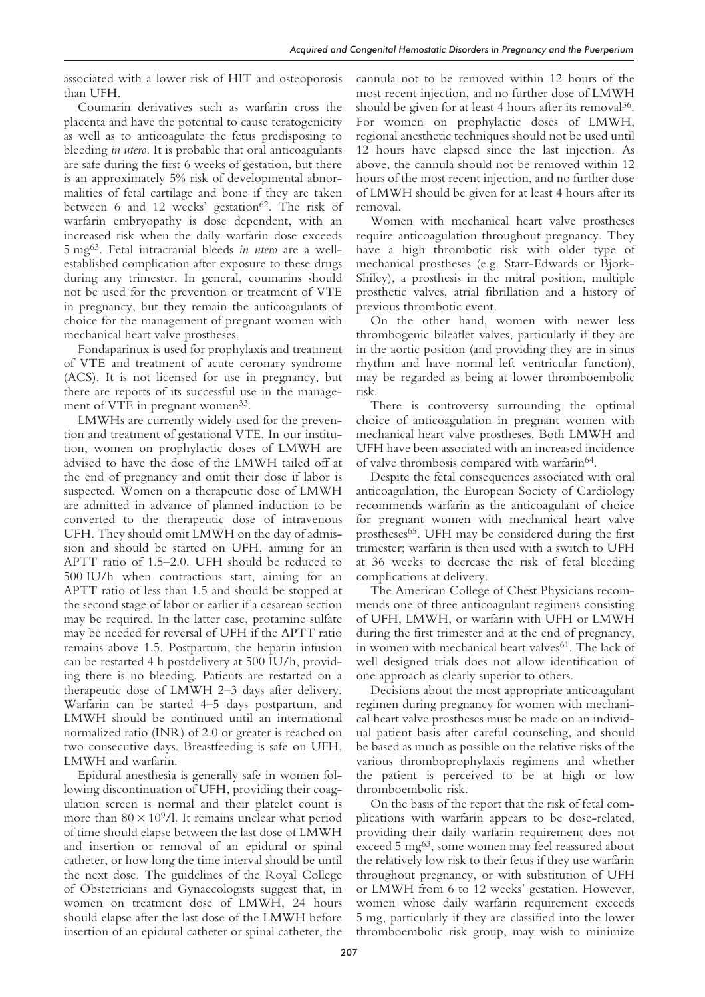associated with a lower risk of HIT and osteoporosis than UFH.

Coumarin derivatives such as warfarin cross the placenta and have the potential to cause teratogenicity as well as to anticoagulate the fetus predisposing to bleeding *in utero*. It is probable that oral anticoagulants are safe during the first 6 weeks of gestation, but there is an approximately 5% risk of developmental abnormalities of fetal cartilage and bone if they are taken between 6 and 12 weeks' gestation<sup>62</sup>. The risk of warfarin embryopathy is dose dependent, with an increased risk when the daily warfarin dose exceeds 5 mg63. Fetal intracranial bleeds *in utero* are a wellestablished complication after exposure to these drugs during any trimester. In general, coumarins should not be used for the prevention or treatment of VTE in pregnancy, but they remain the anticoagulants of choice for the management of pregnant women with mechanical heart valve prostheses.

Fondaparinux is used for prophylaxis and treatment of VTE and treatment of acute coronary syndrome (ACS). It is not licensed for use in pregnancy, but there are reports of its successful use in the management of VTE in pregnant women<sup>33</sup>.

LMWHs are currently widely used for the prevention and treatment of gestational VTE. In our institution, women on prophylactic doses of LMWH are advised to have the dose of the LMWH tailed off at the end of pregnancy and omit their dose if labor is suspected. Women on a therapeutic dose of LMWH are admitted in advance of planned induction to be converted to the therapeutic dose of intravenous UFH. They should omit LMWH on the day of admission and should be started on UFH, aiming for an APTT ratio of 1.5–2.0. UFH should be reduced to 500 IU/h when contractions start, aiming for an APTT ratio of less than 1.5 and should be stopped at the second stage of labor or earlier if a cesarean section may be required. In the latter case, protamine sulfate may be needed for reversal of UFH if the APTT ratio remains above 1.5. Postpartum, the heparin infusion can be restarted 4 h postdelivery at 500 IU/h, providing there is no bleeding. Patients are restarted on a therapeutic dose of LMWH 2–3 days after delivery. Warfarin can be started 4–5 days postpartum, and LMWH should be continued until an international normalized ratio (INR) of 2.0 or greater is reached on two consecutive days. Breastfeeding is safe on UFH, LMWH and warfarin.

Epidural anesthesia is generally safe in women following discontinuation of UFH, providing their coagulation screen is normal and their platelet count is more than  $80 \times 10^9$ /l. It remains unclear what period of time should elapse between the last dose of LMWH and insertion or removal of an epidural or spinal catheter, or how long the time interval should be until the next dose. The guidelines of the Royal College of Obstetricians and Gynaecologists suggest that, in women on treatment dose of LMWH, 24 hours should elapse after the last dose of the LMWH before insertion of an epidural catheter or spinal catheter, the cannula not to be removed within 12 hours of the most recent injection, and no further dose of LMWH should be given for at least 4 hours after its removal<sup>36</sup>. For women on prophylactic doses of LMWH, regional anesthetic techniques should not be used until 12 hours have elapsed since the last injection. As above, the cannula should not be removed within 12 hours of the most recent injection, and no further dose of LMWH should be given for at least 4 hours after its removal.

Women with mechanical heart valve prostheses require anticoagulation throughout pregnancy. They have a high thrombotic risk with older type of mechanical prostheses (e.g. Starr-Edwards or Bjork-Shiley), a prosthesis in the mitral position, multiple prosthetic valves, atrial fibrillation and a history of previous thrombotic event.

On the other hand, women with newer less thrombogenic bileaflet valves, particularly if they are in the aortic position (and providing they are in sinus rhythm and have normal left ventricular function), may be regarded as being at lower thromboembolic risk.

There is controversy surrounding the optimal choice of anticoagulation in pregnant women with mechanical heart valve prostheses. Both LMWH and UFH have been associated with an increased incidence of valve thrombosis compared with warfarin<sup>64</sup>.

Despite the fetal consequences associated with oral anticoagulation, the European Society of Cardiology recommends warfarin as the anticoagulant of choice for pregnant women with mechanical heart valve prostheses65. UFH may be considered during the first trimester; warfarin is then used with a switch to UFH at 36 weeks to decrease the risk of fetal bleeding complications at delivery.

The American College of Chest Physicians recommends one of three anticoagulant regimens consisting of UFH, LMWH, or warfarin with UFH or LMWH during the first trimester and at the end of pregnancy, in women with mechanical heart valves<sup>61</sup>. The lack of well designed trials does not allow identification of one approach as clearly superior to others.

Decisions about the most appropriate anticoagulant regimen during pregnancy for women with mechanical heart valve prostheses must be made on an individual patient basis after careful counseling, and should be based as much as possible on the relative risks of the various thromboprophylaxis regimens and whether the patient is perceived to be at high or low thromboembolic risk.

On the basis of the report that the risk of fetal complications with warfarin appears to be dose-related, providing their daily warfarin requirement does not exceed 5 mg<sup>63</sup>, some women may feel reassured about the relatively low risk to their fetus if they use warfarin throughout pregnancy, or with substitution of UFH or LMWH from 6 to 12 weeks' gestation. However, women whose daily warfarin requirement exceeds 5 mg, particularly if they are classified into the lower thromboembolic risk group, may wish to minimize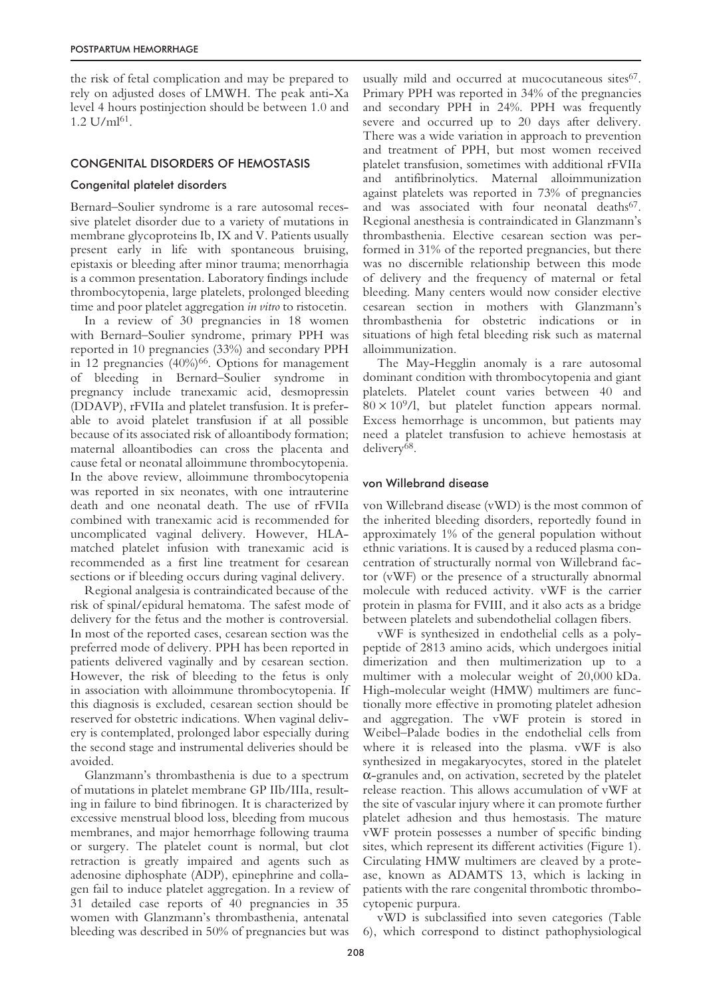the risk of fetal complication and may be prepared to rely on adjusted doses of LMWH. The peak anti-Xa level 4 hours postinjection should be between 1.0 and  $1.2 \text{ U/ml}^{61}$ .

## CONGENITAL DISORDERS OF HEMOSTASIS

## Congenital platelet disorders

Bernard–Soulier syndrome is a rare autosomal recessive platelet disorder due to a variety of mutations in membrane glycoproteins Ib, IX and V. Patients usually present early in life with spontaneous bruising, epistaxis or bleeding after minor trauma; menorrhagia is a common presentation. Laboratory findings include thrombocytopenia, large platelets, prolonged bleeding time and poor platelet aggregation *in vitro* to ristocetin.

In a review of 30 pregnancies in 18 women with Bernard–Soulier syndrome, primary PPH was reported in 10 pregnancies (33%) and secondary PPH in 12 pregnancies (40%)<sup>66</sup>. Options for management of bleeding in Bernard–Soulier syndrome in pregnancy include tranexamic acid, desmopressin (DDAVP), rFVIIa and platelet transfusion. It is preferable to avoid platelet transfusion if at all possible because of its associated risk of alloantibody formation; maternal alloantibodies can cross the placenta and cause fetal or neonatal alloimmune thrombocytopenia. In the above review, alloimmune thrombocytopenia was reported in six neonates, with one intrauterine death and one neonatal death. The use of rFVIIa combined with tranexamic acid is recommended for uncomplicated vaginal delivery. However, HLAmatched platelet infusion with tranexamic acid is recommended as a first line treatment for cesarean sections or if bleeding occurs during vaginal delivery.

Regional analgesia is contraindicated because of the risk of spinal/epidural hematoma. The safest mode of delivery for the fetus and the mother is controversial. In most of the reported cases, cesarean section was the preferred mode of delivery. PPH has been reported in patients delivered vaginally and by cesarean section. However, the risk of bleeding to the fetus is only in association with alloimmune thrombocytopenia. If this diagnosis is excluded, cesarean section should be reserved for obstetric indications. When vaginal delivery is contemplated, prolonged labor especially during the second stage and instrumental deliveries should be avoided.

Glanzmann's thrombasthenia is due to a spectrum of mutations in platelet membrane GP IIb/IIIa, resulting in failure to bind fibrinogen. It is characterized by excessive menstrual blood loss, bleeding from mucous membranes, and major hemorrhage following trauma or surgery. The platelet count is normal, but clot retraction is greatly impaired and agents such as adenosine diphosphate (ADP), epinephrine and collagen fail to induce platelet aggregation. In a review of 31 detailed case reports of 40 pregnancies in 35 women with Glanzmann's thrombasthenia, antenatal bleeding was described in 50% of pregnancies but was usually mild and occurred at mucocutaneous sites $67$ . Primary PPH was reported in 34% of the pregnancies and secondary PPH in 24%. PPH was frequently severe and occurred up to 20 days after delivery. There was a wide variation in approach to prevention and treatment of PPH, but most women received platelet transfusion, sometimes with additional rFVIIa and antifibrinolytics. Maternal alloimmunization against platelets was reported in 73% of pregnancies and was associated with four neonatal deaths<sup>67</sup>. Regional anesthesia is contraindicated in Glanzmann's thrombasthenia. Elective cesarean section was performed in 31% of the reported pregnancies, but there was no discernible relationship between this mode of delivery and the frequency of maternal or fetal bleeding. Many centers would now consider elective cesarean section in mothers with Glanzmann's thrombasthenia for obstetric indications or in situations of high fetal bleeding risk such as maternal alloimmunization.

The May-Hegglin anomaly is a rare autosomal dominant condition with thrombocytopenia and giant platelets. Platelet count varies between 40 and  $80 \times 10^9$ /l, but platelet function appears normal. Excess hemorrhage is uncommon, but patients may need a platelet transfusion to achieve hemostasis at delivery68.

## von Willebrand disease

von Willebrand disease (vWD) is the most common of the inherited bleeding disorders, reportedly found in approximately 1% of the general population without ethnic variations. It is caused by a reduced plasma concentration of structurally normal von Willebrand factor (vWF) or the presence of a structurally abnormal molecule with reduced activity. vWF is the carrier protein in plasma for FVIII, and it also acts as a bridge between platelets and subendothelial collagen fibers.

vWF is synthesized in endothelial cells as a polypeptide of 2813 amino acids, which undergoes initial dimerization and then multimerization up to a multimer with a molecular weight of 20,000 kDa. High-molecular weight (HMW) multimers are functionally more effective in promoting platelet adhesion and aggregation. The vWF protein is stored in Weibel–Palade bodies in the endothelial cells from where it is released into the plasma. vWF is also synthesized in megakaryocytes, stored in the platelet α-granules and, on activation, secreted by the platelet release reaction. This allows accumulation of vWF at the site of vascular injury where it can promote further platelet adhesion and thus hemostasis. The mature vWF protein possesses a number of specific binding sites, which represent its different activities (Figure 1). Circulating HMW multimers are cleaved by a protease, known as ADAMTS 13, which is lacking in patients with the rare congenital thrombotic thrombocytopenic purpura.

vWD is subclassified into seven categories (Table 6), which correspond to distinct pathophysiological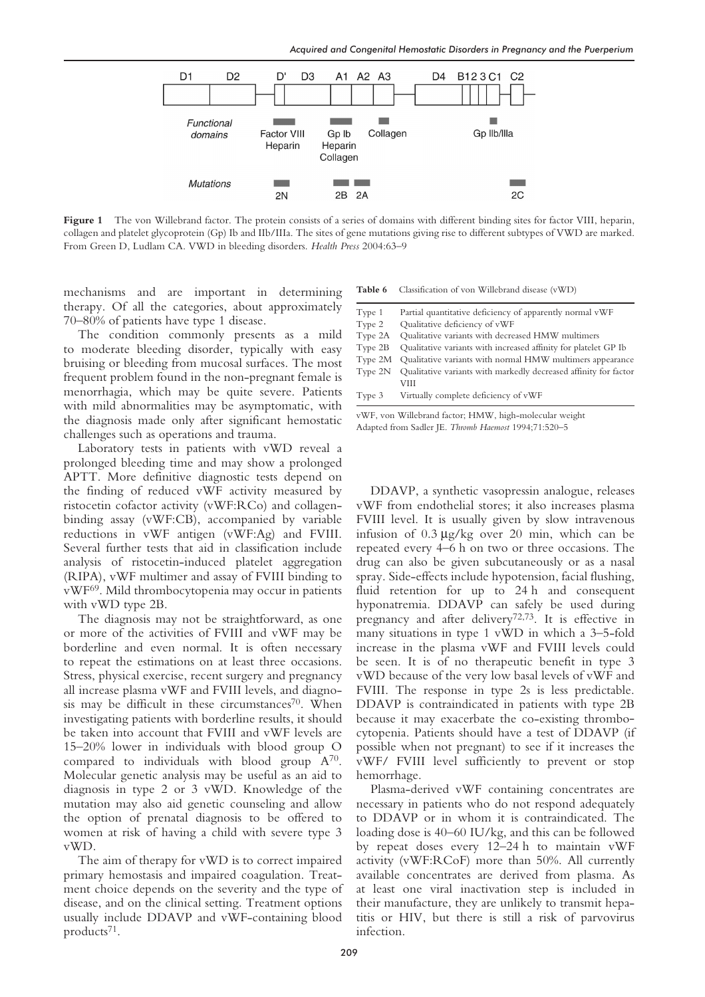

**Figure 1** The von Willebrand factor. The protein consists of a series of domains with different binding sites for factor VIII, heparin, collagen and platelet glycoprotein (Gp) Ib and IIb/IIIa. The sites of gene mutations giving rise to different subtypes of VWD are marked. From Green D, Ludlam CA. VWD in bleeding disorders. *Health Press* 2004:63–9

mechanisms and are important in determining therapy. Of all the categories, about approximately 70–80% of patients have type 1 disease.

The condition commonly presents as a mild to moderate bleeding disorder, typically with easy bruising or bleeding from mucosal surfaces. The most frequent problem found in the non-pregnant female is menorrhagia, which may be quite severe. Patients with mild abnormalities may be asymptomatic, with the diagnosis made only after significant hemostatic challenges such as operations and trauma.

Laboratory tests in patients with vWD reveal a prolonged bleeding time and may show a prolonged APTT. More definitive diagnostic tests depend on the finding of reduced vWF activity measured by ristocetin cofactor activity (vWF:RCo) and collagenbinding assay (vWF:CB), accompanied by variable reductions in vWF antigen (vWF:Ag) and FVIII. Several further tests that aid in classification include analysis of ristocetin-induced platelet aggregation (RIPA), vWF multimer and assay of FVIII binding to vWF69. Mild thrombocytopenia may occur in patients with vWD type 2B.

The diagnosis may not be straightforward, as one or more of the activities of FVIII and vWF may be borderline and even normal. It is often necessary to repeat the estimations on at least three occasions. Stress, physical exercise, recent surgery and pregnancy all increase plasma vWF and FVIII levels, and diagnosis may be difficult in these circumstances $70$ . When investigating patients with borderline results, it should be taken into account that FVIII and vWF levels are 15–20% lower in individuals with blood group O compared to individuals with blood group  $A^{70}$ . Molecular genetic analysis may be useful as an aid to diagnosis in type 2 or 3 vWD. Knowledge of the mutation may also aid genetic counseling and allow the option of prenatal diagnosis to be offered to women at risk of having a child with severe type 3 vWD.

The aim of therapy for vWD is to correct impaired primary hemostasis and impaired coagulation. Treatment choice depends on the severity and the type of disease, and on the clinical setting. Treatment options usually include DDAVP and vWF-containing blood products71.

**Table 6** Classification of von Willebrand disease (vWD)

| Type 1  | Partial quantitative deficiency of apparently normal vWF                 |
|---------|--------------------------------------------------------------------------|
| Type 2  | Qualitative deficiency of vWF                                            |
| Type 2A | Qualitative variants with decreased HMW multimers                        |
| Type 2B | Qualitative variants with increased affinity for platelet GP Ib          |
|         | Type 2M Qualitative variants with normal HMW multimers appearance        |
| Type 2N | Qualitative variants with markedly decreased affinity for factor<br>VIII |
| Type 3  | Virtually complete deficiency of vWF                                     |

vWF, von Willebrand factor; HMW, high-molecular weight Adapted from Sadler JE. *Thromb Haemost* 1994;71:520–5

DDAVP, a synthetic vasopressin analogue, releases vWF from endothelial stores; it also increases plasma FVIII level. It is usually given by slow intravenous infusion of 0.3 µg/kg over 20 min, which can be repeated every 4–6 h on two or three occasions. The drug can also be given subcutaneously or as a nasal spray. Side-effects include hypotension, facial flushing, fluid retention for up to 24 h and consequent hyponatremia. DDAVP can safely be used during pregnancy and after delivery<sup>72,73</sup>. It is effective in many situations in type 1 vWD in which a 3–5-fold increase in the plasma vWF and FVIII levels could be seen. It is of no therapeutic benefit in type 3 vWD because of the very low basal levels of vWF and FVIII. The response in type 2s is less predictable. DDAVP is contraindicated in patients with type 2B because it may exacerbate the co-existing thrombocytopenia. Patients should have a test of DDAVP (if possible when not pregnant) to see if it increases the vWF/ FVIII level sufficiently to prevent or stop hemorrhage.

Plasma-derived vWF containing concentrates are necessary in patients who do not respond adequately to DDAVP or in whom it is contraindicated. The loading dose is 40–60 IU/kg, and this can be followed by repeat doses every 12–24 h to maintain vWF activity (vWF:RCoF) more than 50%. All currently available concentrates are derived from plasma. As at least one viral inactivation step is included in their manufacture, they are unlikely to transmit hepatitis or HIV, but there is still a risk of parvovirus infection.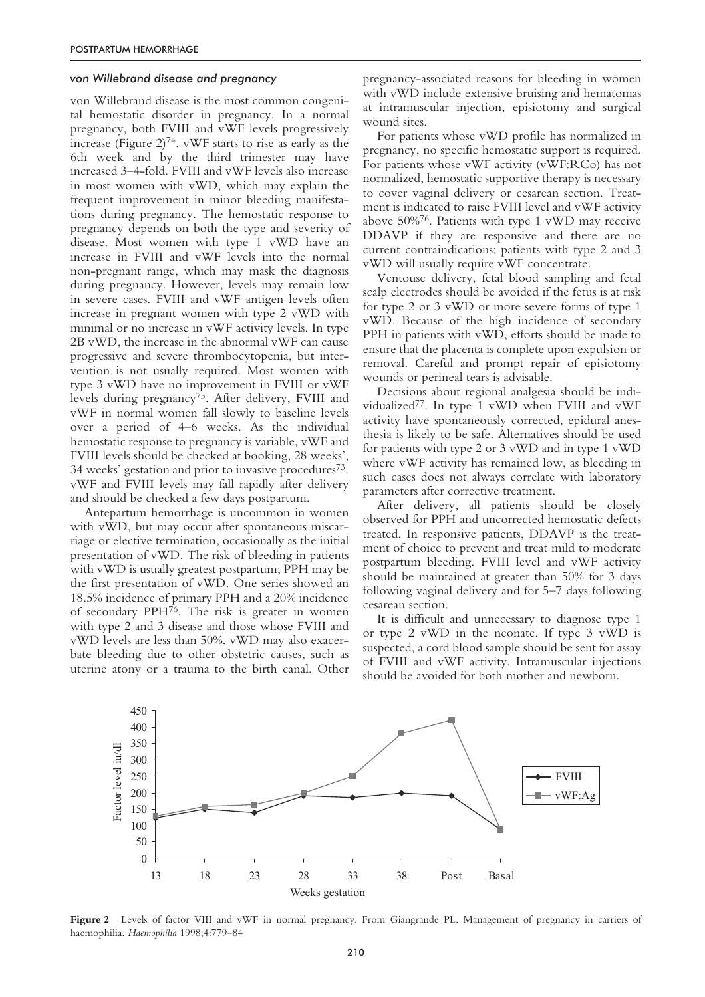#### *von Willebrand disease and pregnancy*

von Willebrand disease is the most common congenital hemostatic disorder in pregnancy. In a normal pregnancy, both FVIII and vWF levels progressively increase (Figure  $2^{74}$ . vWF starts to rise as early as the 6th week and by the third trimester may have increased 3–4-fold. FVIII and vWF levels also increase in most women with vWD, which may explain the frequent improvement in minor bleeding manifestations during pregnancy. The hemostatic response to pregnancy depends on both the type and severity of disease. Most women with type 1 vWD have an increase in FVIII and vWF levels into the normal non-pregnant range, which may mask the diagnosis during pregnancy. However, levels may remain low in severe cases. FVIII and vWF antigen levels often increase in pregnant women with type 2 vWD with minimal or no increase in vWF activity levels. In type 2B vWD, the increase in the abnormal vWF can cause progressive and severe thrombocytopenia, but intervention is not usually required. Most women with type 3 vWD have no improvement in FVIII or vWF levels during pregnancy75. After delivery, FVIII and vWF in normal women fall slowly to baseline levels over a period of 4–6 weeks. As the individual hemostatic response to pregnancy is variable, vWF and FVIII levels should be checked at booking, 28 weeks', 34 weeks' gestation and prior to invasive procedures<sup>73</sup>. vWF and FVIII levels may fall rapidly after delivery and should be checked a few days postpartum.

Antepartum hemorrhage is uncommon in women with vWD, but may occur after spontaneous miscarriage or elective termination, occasionally as the initial presentation of vWD. The risk of bleeding in patients with vWD is usually greatest postpartum; PPH may be the first presentation of vWD. One series showed an 18.5% incidence of primary PPH and a 20% incidence of secondary PPH76. The risk is greater in women with type 2 and 3 disease and those whose FVIII and vWD levels are less than 50%. vWD may also exacerbate bleeding due to other obstetric causes, such as uterine atony or a trauma to the birth canal. Other

pregnancy-associated reasons for bleeding in women with vWD include extensive bruising and hematomas at intramuscular injection, episiotomy and surgical wound sites.

For patients whose vWD profile has normalized in pregnancy, no specific hemostatic support is required. For patients whose vWF activity (vWF:RCo) has not normalized, hemostatic supportive therapy is necessary to cover vaginal delivery or cesarean section. Treatment is indicated to raise FVIII level and vWF activity above 50%76. Patients with type 1 vWD may receive DDAVP if they are responsive and there are no current contraindications; patients with type 2 and 3 vWD will usually require vWF concentrate.

Ventouse delivery, fetal blood sampling and fetal scalp electrodes should be avoided if the fetus is at risk for type 2 or 3 vWD or more severe forms of type 1 vWD. Because of the high incidence of secondary PPH in patients with vWD, efforts should be made to ensure that the placenta is complete upon expulsion or removal. Careful and prompt repair of episiotomy wounds or perineal tears is advisable.

Decisions about regional analgesia should be individualized77. In type 1 vWD when FVIII and vWF activity have spontaneously corrected, epidural anesthesia is likely to be safe. Alternatives should be used for patients with type 2 or 3 vWD and in type 1 vWD where vWF activity has remained low, as bleeding in such cases does not always correlate with laboratory parameters after corrective treatment.

After delivery, all patients should be closely observed for PPH and uncorrected hemostatic defects treated. In responsive patients, DDAVP is the treatment of choice to prevent and treat mild to moderate postpartum bleeding. FVIII level and vWF activity should be maintained at greater than 50% for 3 days following vaginal delivery and for 5–7 days following cesarean section.

It is difficult and unnecessary to diagnose type 1 or type 2 vWD in the neonate. If type 3 vWD is suspected, a cord blood sample should be sent for assay of FVIII and vWF activity. Intramuscular injections should be avoided for both mother and newborn.



**Figure 2** Levels of factor VIII and vWF in normal pregnancy. From Giangrande PL. Management of pregnancy in carriers of haemophilia. *Haemophilia* 1998;4:779–84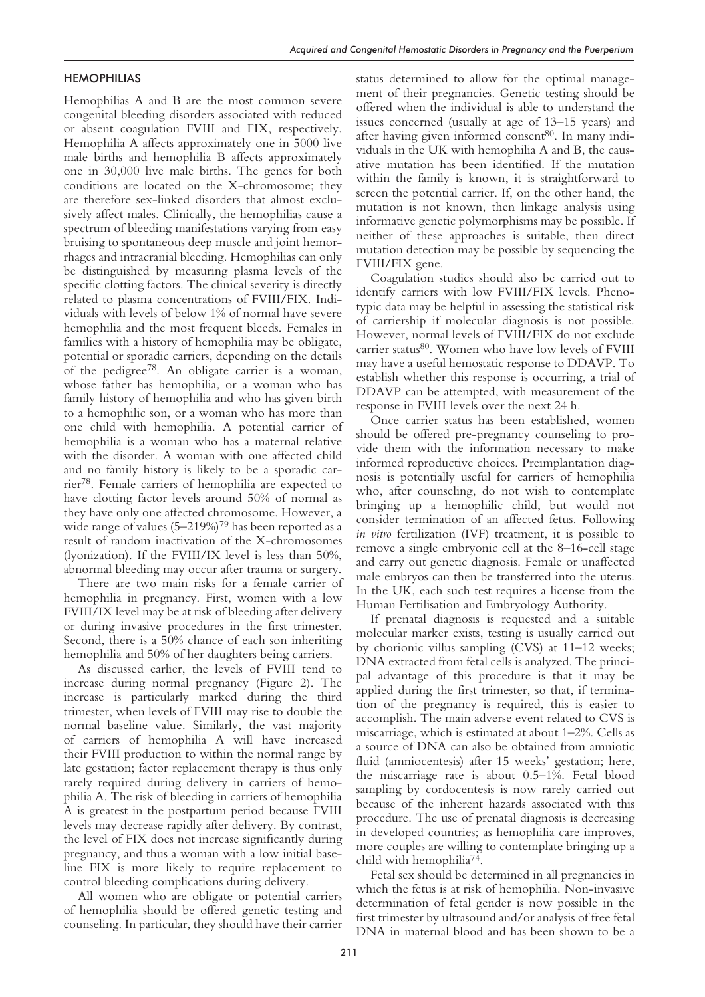## **HEMOPHILIAS**

Hemophilias A and B are the most common severe congenital bleeding disorders associated with reduced or absent coagulation FVIII and FIX, respectively. Hemophilia A affects approximately one in 5000 live male births and hemophilia B affects approximately one in 30,000 live male births. The genes for both conditions are located on the X-chromosome; they are therefore sex-linked disorders that almost exclusively affect males. Clinically, the hemophilias cause a spectrum of bleeding manifestations varying from easy bruising to spontaneous deep muscle and joint hemorrhages and intracranial bleeding. Hemophilias can only be distinguished by measuring plasma levels of the specific clotting factors. The clinical severity is directly related to plasma concentrations of FVIII/FIX. Individuals with levels of below 1% of normal have severe hemophilia and the most frequent bleeds. Females in families with a history of hemophilia may be obligate, potential or sporadic carriers, depending on the details of the pedigree78. An obligate carrier is a woman, whose father has hemophilia, or a woman who has family history of hemophilia and who has given birth to a hemophilic son, or a woman who has more than one child with hemophilia. A potential carrier of hemophilia is a woman who has a maternal relative with the disorder. A woman with one affected child and no family history is likely to be a sporadic carrier78. Female carriers of hemophilia are expected to have clotting factor levels around 50% of normal as they have only one affected chromosome. However, a wide range of values (5-219%)<sup>79</sup> has been reported as a result of random inactivation of the X-chromosomes (lyonization). If the FVIII/IX level is less than 50%, abnormal bleeding may occur after trauma or surgery.

There are two main risks for a female carrier of hemophilia in pregnancy. First, women with a low FVIII/IX level may be at risk of bleeding after delivery or during invasive procedures in the first trimester. Second, there is a 50% chance of each son inheriting hemophilia and 50% of her daughters being carriers.

As discussed earlier, the levels of FVIII tend to increase during normal pregnancy (Figure 2). The increase is particularly marked during the third trimester, when levels of FVIII may rise to double the normal baseline value. Similarly, the vast majority of carriers of hemophilia A will have increased their FVIII production to within the normal range by late gestation; factor replacement therapy is thus only rarely required during delivery in carriers of hemophilia A. The risk of bleeding in carriers of hemophilia A is greatest in the postpartum period because FVIII levels may decrease rapidly after delivery. By contrast, the level of FIX does not increase significantly during pregnancy, and thus a woman with a low initial baseline FIX is more likely to require replacement to control bleeding complications during delivery.

All women who are obligate or potential carriers of hemophilia should be offered genetic testing and counseling. In particular, they should have their carrier

status determined to allow for the optimal management of their pregnancies. Genetic testing should be offered when the individual is able to understand the issues concerned (usually at age of 13–15 years) and after having given informed consent<sup>80</sup>. In many individuals in the UK with hemophilia A and B, the causative mutation has been identified. If the mutation within the family is known, it is straightforward to screen the potential carrier. If, on the other hand, the mutation is not known, then linkage analysis using informative genetic polymorphisms may be possible. If neither of these approaches is suitable, then direct mutation detection may be possible by sequencing the FVIII/FIX gene.

Coagulation studies should also be carried out to identify carriers with low FVIII/FIX levels. Phenotypic data may be helpful in assessing the statistical risk of carriership if molecular diagnosis is not possible. However, normal levels of FVIII/FIX do not exclude carrier status80. Women who have low levels of FVIII may have a useful hemostatic response to DDAVP. To establish whether this response is occurring, a trial of DDAVP can be attempted, with measurement of the response in FVIII levels over the next 24 h.

Once carrier status has been established, women should be offered pre-pregnancy counseling to provide them with the information necessary to make informed reproductive choices. Preimplantation diagnosis is potentially useful for carriers of hemophilia who, after counseling, do not wish to contemplate bringing up a hemophilic child, but would not consider termination of an affected fetus. Following *in vitro* fertilization (IVF) treatment, it is possible to remove a single embryonic cell at the 8–16-cell stage and carry out genetic diagnosis. Female or unaffected male embryos can then be transferred into the uterus. In the UK, each such test requires a license from the Human Fertilisation and Embryology Authority.

If prenatal diagnosis is requested and a suitable molecular marker exists, testing is usually carried out by chorionic villus sampling (CVS) at 11–12 weeks; DNA extracted from fetal cells is analyzed. The principal advantage of this procedure is that it may be applied during the first trimester, so that, if termination of the pregnancy is required, this is easier to accomplish. The main adverse event related to CVS is miscarriage, which is estimated at about 1–2%. Cells as a source of DNA can also be obtained from amniotic fluid (amniocentesis) after 15 weeks' gestation; here, the miscarriage rate is about 0.5–1%. Fetal blood sampling by cordocentesis is now rarely carried out because of the inherent hazards associated with this procedure. The use of prenatal diagnosis is decreasing in developed countries; as hemophilia care improves, more couples are willing to contemplate bringing up a child with hemophilia74.

Fetal sex should be determined in all pregnancies in which the fetus is at risk of hemophilia. Non-invasive determination of fetal gender is now possible in the first trimester by ultrasound and/or analysis of free fetal DNA in maternal blood and has been shown to be a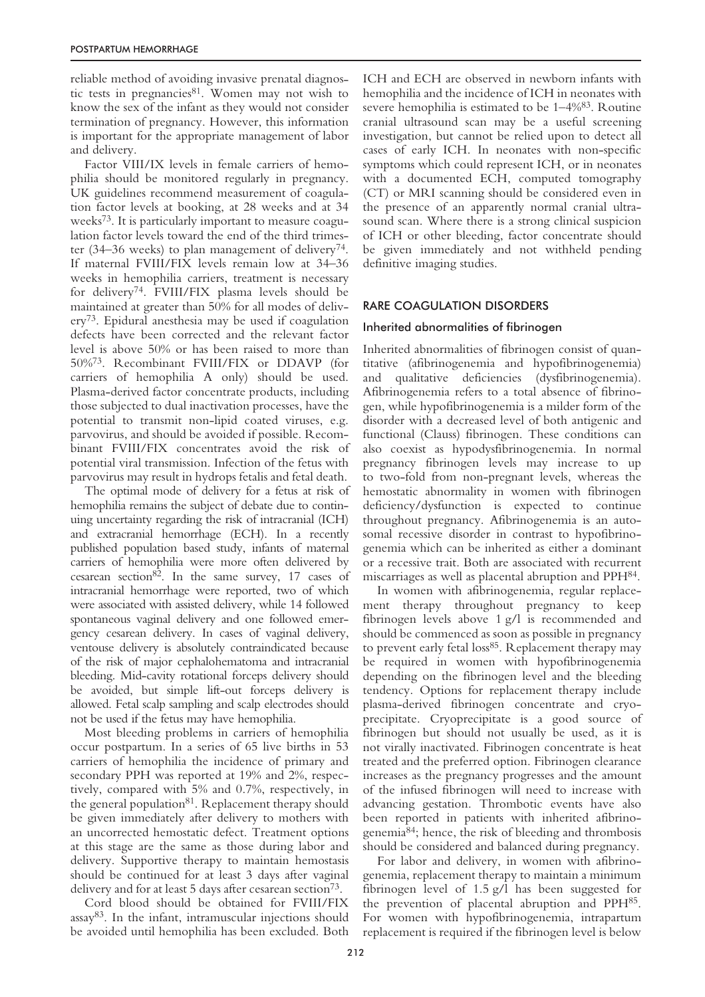reliable method of avoiding invasive prenatal diagnostic tests in pregnancies $81$ . Women may not wish to know the sex of the infant as they would not consider termination of pregnancy. However, this information is important for the appropriate management of labor and delivery.

Factor VIII/IX levels in female carriers of hemophilia should be monitored regularly in pregnancy. UK guidelines recommend measurement of coagulation factor levels at booking, at 28 weeks and at 34 weeks73. It is particularly important to measure coagulation factor levels toward the end of the third trimester (34–36 weeks) to plan management of delivery<sup>74</sup>. If maternal FVIII/FIX levels remain low at 34–36 weeks in hemophilia carriers, treatment is necessary for delivery74. FVIII/FIX plasma levels should be maintained at greater than 50% for all modes of delivery73. Epidural anesthesia may be used if coagulation defects have been corrected and the relevant factor level is above 50% or has been raised to more than 50%73. Recombinant FVIII/FIX or DDAVP (for carriers of hemophilia A only) should be used. Plasma-derived factor concentrate products, including those subjected to dual inactivation processes, have the potential to transmit non-lipid coated viruses, e.g. parvovirus, and should be avoided if possible. Recombinant FVIII/FIX concentrates avoid the risk of potential viral transmission. Infection of the fetus with parvovirus may result in hydrops fetalis and fetal death.

The optimal mode of delivery for a fetus at risk of hemophilia remains the subject of debate due to continuing uncertainty regarding the risk of intracranial (ICH) and extracranial hemorrhage (ECH). In a recently published population based study, infants of maternal carriers of hemophilia were more often delivered by cesarean section $82$ . In the same survey, 17 cases of intracranial hemorrhage were reported, two of which were associated with assisted delivery, while 14 followed spontaneous vaginal delivery and one followed emergency cesarean delivery. In cases of vaginal delivery, ventouse delivery is absolutely contraindicated because of the risk of major cephalohematoma and intracranial bleeding. Mid-cavity rotational forceps delivery should be avoided, but simple lift-out forceps delivery is allowed. Fetal scalp sampling and scalp electrodes should not be used if the fetus may have hemophilia.

Most bleeding problems in carriers of hemophilia occur postpartum. In a series of 65 live births in 53 carriers of hemophilia the incidence of primary and secondary PPH was reported at 19% and 2%, respectively, compared with 5% and 0.7%, respectively, in the general population $81$ . Replacement therapy should be given immediately after delivery to mothers with an uncorrected hemostatic defect. Treatment options at this stage are the same as those during labor and delivery. Supportive therapy to maintain hemostasis should be continued for at least 3 days after vaginal delivery and for at least 5 days after cesarean section<sup>73</sup>.

Cord blood should be obtained for FVIII/FIX assay83. In the infant, intramuscular injections should be avoided until hemophilia has been excluded. Both ICH and ECH are observed in newborn infants with hemophilia and the incidence of ICH in neonates with severe hemophilia is estimated to be 1–4%83. Routine cranial ultrasound scan may be a useful screening investigation, but cannot be relied upon to detect all cases of early ICH. In neonates with non-specific symptoms which could represent ICH, or in neonates with a documented ECH, computed tomography (CT) or MRI scanning should be considered even in the presence of an apparently normal cranial ultrasound scan. Where there is a strong clinical suspicion of ICH or other bleeding, factor concentrate should be given immediately and not withheld pending definitive imaging studies.

# RARE COAGULATION DISORDERS

## Inherited abnormalities of fibrinogen

Inherited abnormalities of fibrinogen consist of quantitative (afibrinogenemia and hypofibrinogenemia) and qualitative deficiencies (dysfibrinogenemia). Afibrinogenemia refers to a total absence of fibrinogen, while hypofibrinogenemia is a milder form of the disorder with a decreased level of both antigenic and functional (Clauss) fibrinogen. These conditions can also coexist as hypodysfibrinogenemia. In normal pregnancy fibrinogen levels may increase to up to two-fold from non-pregnant levels, whereas the hemostatic abnormality in women with fibrinogen deficiency/dysfunction is expected to continue throughout pregnancy. Afibrinogenemia is an autosomal recessive disorder in contrast to hypofibrinogenemia which can be inherited as either a dominant or a recessive trait. Both are associated with recurrent miscarriages as well as placental abruption and PPH84.

In women with afibrinogenemia, regular replacement therapy throughout pregnancy to keep fibrinogen levels above 1 g/l is recommended and should be commenced as soon as possible in pregnancy to prevent early fetal  $loss^{85}$ . Replacement therapy may be required in women with hypofibrinogenemia depending on the fibrinogen level and the bleeding tendency. Options for replacement therapy include plasma-derived fibrinogen concentrate and cryoprecipitate. Cryoprecipitate is a good source of fibrinogen but should not usually be used, as it is not virally inactivated. Fibrinogen concentrate is heat treated and the preferred option. Fibrinogen clearance increases as the pregnancy progresses and the amount of the infused fibrinogen will need to increase with advancing gestation. Thrombotic events have also been reported in patients with inherited afibrinogenemia84; hence, the risk of bleeding and thrombosis should be considered and balanced during pregnancy.

For labor and delivery, in women with afibrinogenemia, replacement therapy to maintain a minimum fibrinogen level of 1.5 g/l has been suggested for the prevention of placental abruption and PPH85. For women with hypofibrinogenemia, intrapartum replacement is required if the fibrinogen level is below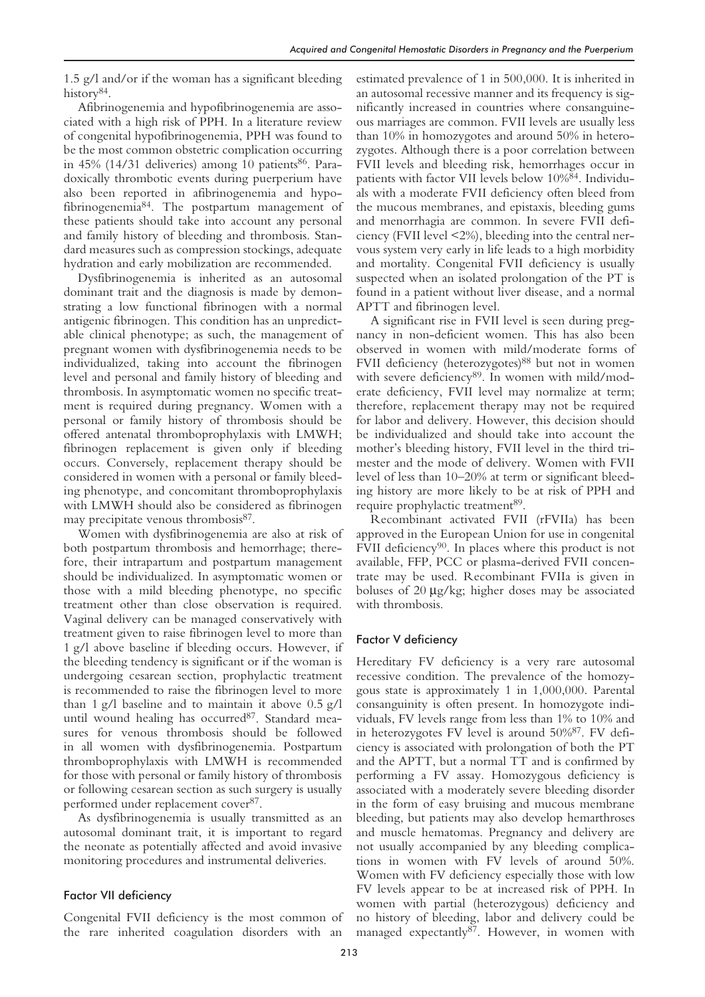1.5 g/l and/or if the woman has a significant bleeding history<sup>84</sup>.

Afibrinogenemia and hypofibrinogenemia are associated with a high risk of PPH. In a literature review of congenital hypofibrinogenemia, PPH was found to be the most common obstetric complication occurring in 45% (14/31 deliveries) among 10 patients  $86$ . Paradoxically thrombotic events during puerperium have also been reported in afibrinogenemia and hypofibrinogenemia84. The postpartum management of these patients should take into account any personal and family history of bleeding and thrombosis. Standard measures such as compression stockings, adequate hydration and early mobilization are recommended.

Dysfibrinogenemia is inherited as an autosomal dominant trait and the diagnosis is made by demonstrating a low functional fibrinogen with a normal antigenic fibrinogen. This condition has an unpredictable clinical phenotype; as such, the management of pregnant women with dysfibrinogenemia needs to be individualized, taking into account the fibrinogen level and personal and family history of bleeding and thrombosis. In asymptomatic women no specific treatment is required during pregnancy. Women with a personal or family history of thrombosis should be offered antenatal thromboprophylaxis with LMWH; fibrinogen replacement is given only if bleeding occurs. Conversely, replacement therapy should be considered in women with a personal or family bleeding phenotype, and concomitant thromboprophylaxis with LMWH should also be considered as fibrinogen may precipitate venous thrombosis<sup>87</sup>.

Women with dysfibrinogenemia are also at risk of both postpartum thrombosis and hemorrhage; therefore, their intrapartum and postpartum management should be individualized. In asymptomatic women or those with a mild bleeding phenotype, no specific treatment other than close observation is required. Vaginal delivery can be managed conservatively with treatment given to raise fibrinogen level to more than 1 g/l above baseline if bleeding occurs. However, if the bleeding tendency is significant or if the woman is undergoing cesarean section, prophylactic treatment is recommended to raise the fibrinogen level to more than 1 g/l baseline and to maintain it above 0.5 g/l until wound healing has occurred<sup>87</sup>. Standard measures for venous thrombosis should be followed in all women with dysfibrinogenemia. Postpartum thromboprophylaxis with LMWH is recommended for those with personal or family history of thrombosis or following cesarean section as such surgery is usually performed under replacement cover87.

As dysfibrinogenemia is usually transmitted as an autosomal dominant trait, it is important to regard the neonate as potentially affected and avoid invasive monitoring procedures and instrumental deliveries.

### Factor VII deficiency

Congenital FVII deficiency is the most common of the rare inherited coagulation disorders with an estimated prevalence of 1 in 500,000. It is inherited in an autosomal recessive manner and its frequency is significantly increased in countries where consanguineous marriages are common. FVII levels are usually less than 10% in homozygotes and around 50% in heterozygotes. Although there is a poor correlation between FVII levels and bleeding risk, hemorrhages occur in patients with factor VII levels below 10%84. Individuals with a moderate FVII deficiency often bleed from the mucous membranes, and epistaxis, bleeding gums and menorrhagia are common. In severe FVII deficiency (FVII level <2%), bleeding into the central nervous system very early in life leads to a high morbidity and mortality. Congenital FVII deficiency is usually suspected when an isolated prolongation of the PT is found in a patient without liver disease, and a normal APTT and fibrinogen level.

A significant rise in FVII level is seen during pregnancy in non-deficient women. This has also been observed in women with mild/moderate forms of FVII deficiency (heterozygotes)<sup>88</sup> but not in women with severe deficiency<sup>89</sup>. In women with mild/moderate deficiency, FVII level may normalize at term; therefore, replacement therapy may not be required for labor and delivery. However, this decision should be individualized and should take into account the mother's bleeding history, FVII level in the third trimester and the mode of delivery. Women with FVII level of less than 10–20% at term or significant bleeding history are more likely to be at risk of PPH and require prophylactic treatment<sup>89</sup>.

Recombinant activated FVII (rFVIIa) has been approved in the European Union for use in congenital FVII deficiency90. In places where this product is not available, FFP, PCC or plasma-derived FVII concentrate may be used. Recombinant FVIIa is given in boluses of 20 µg/kg; higher doses may be associated with thrombosis.

### Factor V deficiency

Hereditary FV deficiency is a very rare autosomal recessive condition. The prevalence of the homozygous state is approximately 1 in 1,000,000. Parental consanguinity is often present. In homozygote individuals, FV levels range from less than 1% to 10% and in heterozygotes FV level is around 50%87. FV deficiency is associated with prolongation of both the PT and the APTT, but a normal TT and is confirmed by performing a FV assay. Homozygous deficiency is associated with a moderately severe bleeding disorder in the form of easy bruising and mucous membrane bleeding, but patients may also develop hemarthroses and muscle hematomas. Pregnancy and delivery are not usually accompanied by any bleeding complications in women with FV levels of around 50%. Women with FV deficiency especially those with low FV levels appear to be at increased risk of PPH. In women with partial (heterozygous) deficiency and no history of bleeding, labor and delivery could be managed expectantly<sup>87</sup>. However, in women with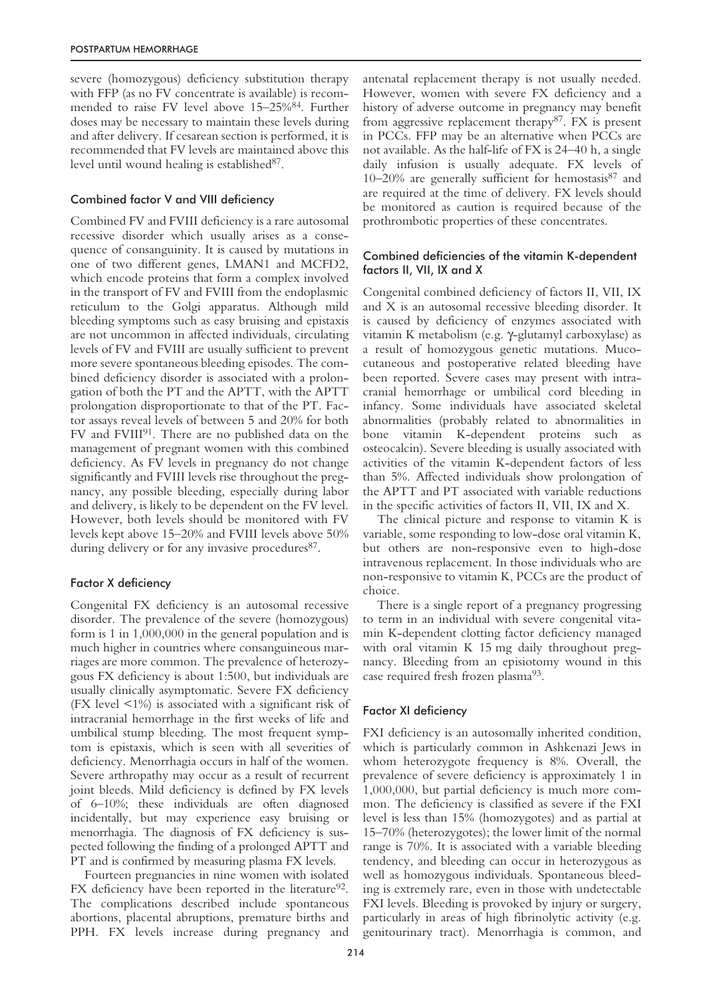severe (homozygous) deficiency substitution therapy with FFP (as no FV concentrate is available) is recommended to raise FV level above 15–25%84. Further doses may be necessary to maintain these levels during and after delivery. If cesarean section is performed, it is recommended that FV levels are maintained above this level until wound healing is established<sup>87</sup>.

# Combined factor V and VIII deficiency

Combined FV and FVIII deficiency is a rare autosomal recessive disorder which usually arises as a consequence of consanguinity. It is caused by mutations in one of two different genes, LMAN1 and MCFD2, which encode proteins that form a complex involved in the transport of FV and FVIII from the endoplasmic reticulum to the Golgi apparatus. Although mild bleeding symptoms such as easy bruising and epistaxis are not uncommon in affected individuals, circulating levels of FV and FVIII are usually sufficient to prevent more severe spontaneous bleeding episodes. The combined deficiency disorder is associated with a prolongation of both the PT and the APTT, with the APTT prolongation disproportionate to that of the PT. Factor assays reveal levels of between 5 and 20% for both FV and FVIII91. There are no published data on the management of pregnant women with this combined deficiency. As FV levels in pregnancy do not change significantly and FVIII levels rise throughout the pregnancy, any possible bleeding, especially during labor and delivery, is likely to be dependent on the FV level. However, both levels should be monitored with FV levels kept above 15–20% and FVIII levels above 50% during delivery or for any invasive procedures<sup>87</sup>.

# Factor X deficiency

Congenital FX deficiency is an autosomal recessive disorder. The prevalence of the severe (homozygous) form is 1 in 1,000,000 in the general population and is much higher in countries where consanguineous marriages are more common. The prevalence of heterozygous FX deficiency is about 1:500, but individuals are usually clinically asymptomatic. Severe FX deficiency (FX level <1%) is associated with a significant risk of intracranial hemorrhage in the first weeks of life and umbilical stump bleeding. The most frequent symptom is epistaxis, which is seen with all severities of deficiency. Menorrhagia occurs in half of the women. Severe arthropathy may occur as a result of recurrent joint bleeds. Mild deficiency is defined by FX levels of 6–10%; these individuals are often diagnosed incidentally, but may experience easy bruising or menorrhagia. The diagnosis of FX deficiency is suspected following the finding of a prolonged APTT and PT and is confirmed by measuring plasma FX levels.

Fourteen pregnancies in nine women with isolated FX deficiency have been reported in the literature<sup>92</sup>. The complications described include spontaneous abortions, placental abruptions, premature births and PPH. FX levels increase during pregnancy and antenatal replacement therapy is not usually needed. However, women with severe FX deficiency and a history of adverse outcome in pregnancy may benefit from aggressive replacement therapy87. FX is present in PCCs. FFP may be an alternative when PCCs are not available. As the half-life of FX is 24–40 h, a single daily infusion is usually adequate. FX levels of 10–20% are generally sufficient for hemostasis87 and are required at the time of delivery. FX levels should be monitored as caution is required because of the prothrombotic properties of these concentrates.

## Combined deficiencies of the vitamin K-dependent factors II, VII, IX and X

Congenital combined deficiency of factors II, VII, IX and X is an autosomal recessive bleeding disorder. It is caused by deficiency of enzymes associated with vitamin K metabolism (e.g. γ-glutamyl carboxylase) as a result of homozygous genetic mutations. Mucocutaneous and postoperative related bleeding have been reported. Severe cases may present with intracranial hemorrhage or umbilical cord bleeding in infancy. Some individuals have associated skeletal abnormalities (probably related to abnormalities in bone vitamin K-dependent proteins such as osteocalcin). Severe bleeding is usually associated with activities of the vitamin K-dependent factors of less than 5%. Affected individuals show prolongation of the APTT and PT associated with variable reductions in the specific activities of factors II, VII, IX and X.

The clinical picture and response to vitamin K is variable, some responding to low-dose oral vitamin K, but others are non-responsive even to high-dose intravenous replacement. In those individuals who are non-responsive to vitamin K, PCCs are the product of choice.

There is a single report of a pregnancy progressing to term in an individual with severe congenital vitamin K-dependent clotting factor deficiency managed with oral vitamin K 15 mg daily throughout pregnancy. Bleeding from an episiotomy wound in this case required fresh frozen plasma<sup>93</sup>.

# Factor XI deficiency

FXI deficiency is an autosomally inherited condition, which is particularly common in Ashkenazi Jews in whom heterozygote frequency is 8%. Overall, the prevalence of severe deficiency is approximately 1 in 1,000,000, but partial deficiency is much more common. The deficiency is classified as severe if the FXI level is less than 15% (homozygotes) and as partial at 15–70% (heterozygotes); the lower limit of the normal range is 70%. It is associated with a variable bleeding tendency, and bleeding can occur in heterozygous as well as homozygous individuals. Spontaneous bleeding is extremely rare, even in those with undetectable FXI levels. Bleeding is provoked by injury or surgery, particularly in areas of high fibrinolytic activity (e.g. genitourinary tract). Menorrhagia is common, and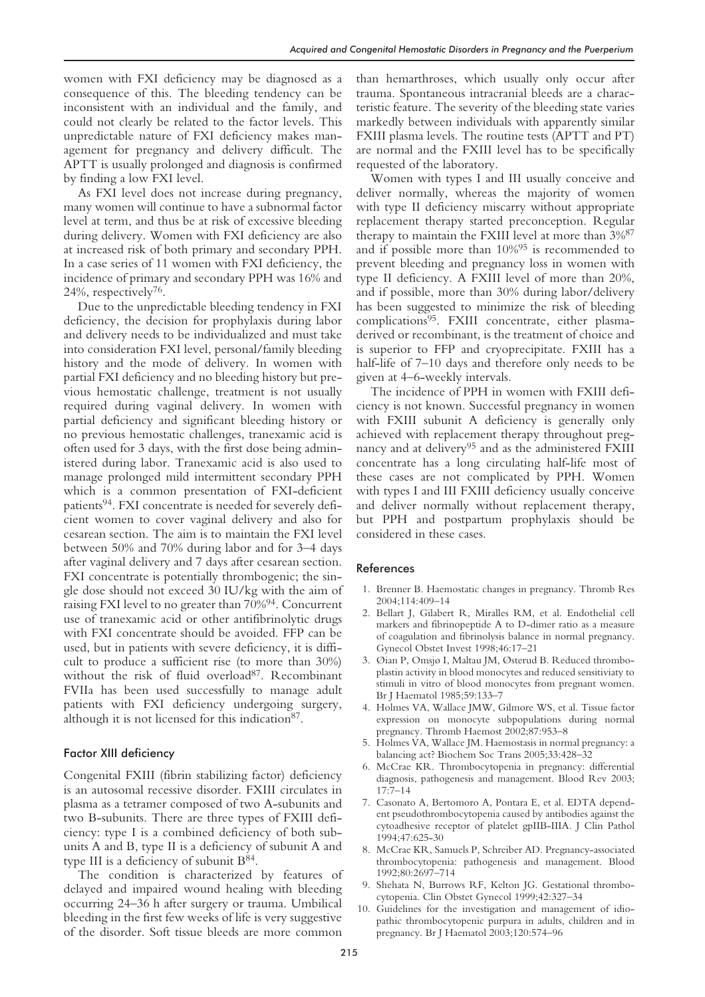women with FXI deficiency may be diagnosed as a consequence of this. The bleeding tendency can be inconsistent with an individual and the family, and could not clearly be related to the factor levels. This unpredictable nature of FXI deficiency makes management for pregnancy and delivery difficult. The APTT is usually prolonged and diagnosis is confirmed by finding a low FXI level.

As FXI level does not increase during pregnancy, many women will continue to have a subnormal factor level at term, and thus be at risk of excessive bleeding during delivery. Women with FXI deficiency are also at increased risk of both primary and secondary PPH. In a case series of 11 women with FXI deficiency, the incidence of primary and secondary PPH was 16% and 24%, respectively76.

Due to the unpredictable bleeding tendency in FXI deficiency, the decision for prophylaxis during labor and delivery needs to be individualized and must take into consideration FXI level, personal/family bleeding history and the mode of delivery. In women with partial FXI deficiency and no bleeding history but previous hemostatic challenge, treatment is not usually required during vaginal delivery. In women with partial deficiency and significant bleeding history or no previous hemostatic challenges, tranexamic acid is often used for 3 days, with the first dose being administered during labor. Tranexamic acid is also used to manage prolonged mild intermittent secondary PPH which is a common presentation of FXI-deficient patients<sup>94</sup>. FXI concentrate is needed for severely deficient women to cover vaginal delivery and also for cesarean section. The aim is to maintain the FXI level between 50% and 70% during labor and for 3–4 days after vaginal delivery and 7 days after cesarean section. FXI concentrate is potentially thrombogenic; the single dose should not exceed 30 IU/kg with the aim of raising FXI level to no greater than 70%94. Concurrent use of tranexamic acid or other antifibrinolytic drugs with FXI concentrate should be avoided. FFP can be used, but in patients with severe deficiency, it is difficult to produce a sufficient rise (to more than 30%) without the risk of fluid overload<sup>87</sup>. Recombinant FVIIa has been used successfully to manage adult patients with FXI deficiency undergoing surgery, although it is not licensed for this indication87.

#### Factor XIII deficiency

Congenital FXIII (fibrin stabilizing factor) deficiency is an autosomal recessive disorder. FXIII circulates in plasma as a tetramer composed of two A-subunits and two B-subunits. There are three types of FXIII deficiency: type I is a combined deficiency of both subunits A and B, type II is a deficiency of subunit A and type III is a deficiency of subunit B84.

The condition is characterized by features of delayed and impaired wound healing with bleeding occurring 24–36 h after surgery or trauma. Umbilical bleeding in the first few weeks of life is very suggestive of the disorder. Soft tissue bleeds are more common

than hemarthroses, which usually only occur after trauma. Spontaneous intracranial bleeds are a characteristic feature. The severity of the bleeding state varies markedly between individuals with apparently similar FXIII plasma levels. The routine tests (APTT and PT) are normal and the FXIII level has to be specifically requested of the laboratory.

Women with types I and III usually conceive and deliver normally, whereas the majority of women with type II deficiency miscarry without appropriate replacement therapy started preconception. Regular therapy to maintain the FXIII level at more than  $3\%$ <sup>87</sup> and if possible more than 10%95 is recommended to prevent bleeding and pregnancy loss in women with type II deficiency. A FXIII level of more than 20%, and if possible, more than 30% during labor/delivery has been suggested to minimize the risk of bleeding complications95. FXIII concentrate, either plasmaderived or recombinant, is the treatment of choice and is superior to FFP and cryoprecipitate. FXIII has a half-life of 7–10 days and therefore only needs to be given at 4–6-weekly intervals.

The incidence of PPH in women with FXIII deficiency is not known. Successful pregnancy in women with FXIII subunit A deficiency is generally only achieved with replacement therapy throughout pregnancy and at delivery<sup>95</sup> and as the administered FXIII concentrate has a long circulating half-life most of these cases are not complicated by PPH. Women with types I and III FXIII deficiency usually conceive and deliver normally without replacement therapy, but PPH and postpartum prophylaxis should be considered in these cases.

#### References

- 1. Brenner B. Haemostatic changes in pregnancy. Thromb Res 2004;114:409–14
- 2. Bellart J, Gilabert R, Miralles RM, et al. Endothelial cell markers and fibrinopeptide A to D-dimer ratio as a measure of coagulation and fibrinolysis balance in normal pregnancy. Gynecol Obstet Invest 1998;46:17–21
- 3. Øian P, Omsjø I, Maltau JM, Østerud B. Reduced thromboplastin activity in blood monocytes and reduced sensitiviaty to stimuli in vitro of blood monocytes from pregnant women. Br J Haematol 1985;59:133–7
- 4. Holmes VA, Wallace JMW, Gilmore WS, et al. Tissue factor expression on monocyte subpopulations during normal pregnancy. Thromb Haemost 2002;87:953–8
- 5. Holmes VA, Wallace JM. Haemostasis in normal pregnancy: a balancing act? Biochem Soc Trans 2005;33:428–32
- 6. McCrae KR. Thrombocytopenia in pregnancy: differential diagnosis, pathogenesis and management. Blood Rev 2003; 17:7–14
- 7. Casonato A, Bertomoro A, Pontara E, et al. EDTA dependent pseudothrombocytopenia caused by antibodies against the cytoadhesive receptor of platelet gpIIB-IIIA. J Clin Pathol 1994;47:625-30
- 8. McCrae KR, Samuels P, Schreiber AD. Pregnancy-associated thrombocytopenia: pathogenesis and management. Blood 1992;80:2697–714
- 9. Shehata N, Burrows RF, Kelton JG. Gestational thrombocytopenia. Clin Obstet Gynecol 1999;42:327–34
- 10. Guidelines for the investigation and management of idiopathic thrombocytopenic purpura in adults, children and in pregnancy. Br J Haematol 2003;120:574–96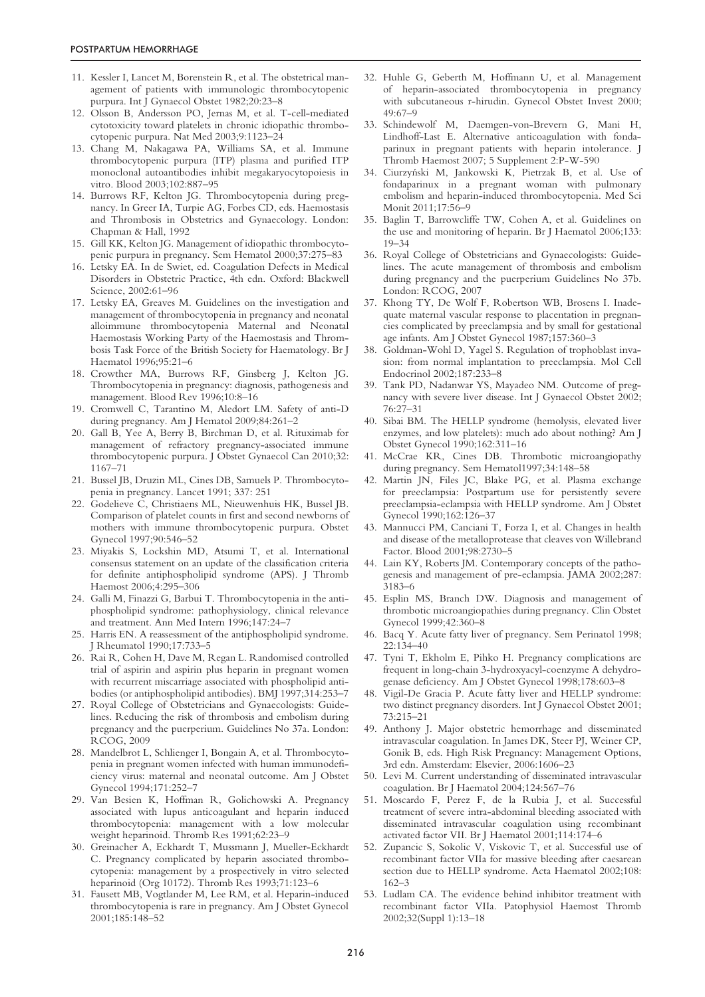- 11. Kessler I, Lancet M, Borenstein R, et al. The obstetrical management of patients with immunologic thrombocytopenic purpura. Int J Gynaecol Obstet 1982;20:23–8
- 12. Olsson B, Andersson PO, Jernas M, et al. T-cell-mediated cytotoxicity toward platelets in chronic idiopathic thrombocytopenic purpura. Nat Med 2003;9:1123–24
- 13. Chang M, Nakagawa PA, Williams SA, et al. Immune thrombocytopenic purpura (ITP) plasma and purified ITP monoclonal autoantibodies inhibit megakaryocytopoiesis in vitro. Blood 2003;102:887–95
- 14. Burrows RF, Kelton JG. Thrombocytopenia during pregnancy. In Greer IA, Turpie AG, Forbes CD, eds. Haemostasis and Thrombosis in Obstetrics and Gynaecology. London: Chapman & Hall, 1992
- 15. Gill KK, Kelton JG. Management of idiopathic thrombocytopenic purpura in pregnancy. Sem Hematol 2000;37:275–83
- 16. Letsky EA. In de Swiet, ed. Coagulation Defects in Medical Disorders in Obstetric Practice, 4th edn. Oxford: Blackwell Science, 2002:61–96
- 17. Letsky EA, Greaves M. Guidelines on the investigation and management of thrombocytopenia in pregnancy and neonatal alloimmune thrombocytopenia Maternal and Neonatal Haemostasis Working Party of the Haemostasis and Thrombosis Task Force of the British Society for Haematology. Br J Haematol 1996;95:21–6
- 18. Crowther MA, Burrows RF, Ginsberg J, Kelton JG. Thrombocytopenia in pregnancy: diagnosis, pathogenesis and management. Blood Rev 1996;10:8–16
- 19. Cromwell C, Tarantino M, Aledort LM. Safety of anti-D during pregnancy. Am J Hematol 2009;84:261–2
- 20. Gall B, Yee A, Berry B, Birchman D, et al. Rituximab for management of refractory pregnancy-associated immune thrombocytopenic purpura. J Obstet Gynaecol Can 2010;32: 1167–71
- 21. Bussel JB, Druzin ML, Cines DB, Samuels P. Thrombocytopenia in pregnancy. Lancet 1991; 337: 251
- 22. Godelieve C, Christiaens ML, Nieuwenhuis HK, Bussel JB. Comparison of platelet counts in first and second newborns of mothers with immune thrombocytopenic purpura. Obstet Gynecol 1997;90:546–52
- 23. Miyakis S, Lockshin MD, Atsumi T, et al. International consensus statement on an update of the classification criteria for definite antiphospholipid syndrome (APS). J Thromb Haemost 2006;4:295–306
- 24. Galli M, Finazzi G, Barbui T. Thrombocytopenia in the antiphospholipid syndrome: pathophysiology, clinical relevance and treatment. Ann Med Intern 1996;147:24–7
- 25. Harris EN. A reassessment of the antiphospholipid syndrome. J Rheumatol 1990;17:733–5
- 26. Rai R, Cohen H, Dave M, Regan L. Randomised controlled trial of aspirin and aspirin plus heparin in pregnant women with recurrent miscarriage associated with phospholipid antibodies (or antiphospholipid antibodies). BMJ 1997;314:253–7
- 27. Royal College of Obstetricians and Gynaecologists: Guidelines. Reducing the risk of thrombosis and embolism during pregnancy and the puerperium. Guidelines No 37a. London: RCOG, 2009
- 28. Mandelbrot L, Schlienger I, Bongain A, et al. Thrombocytopenia in pregnant women infected with human immunodeficiency virus: maternal and neonatal outcome. Am J Obstet Gynecol 1994;171:252–7
- 29. Van Besien K, Hoffman R, Golichowski A. Pregnancy associated with lupus anticoagulant and heparin induced thrombocytopenia: management with a low molecular weight heparinoid. Thromb Res 1991;62:23–9
- 30. Greinacher A, Eckhardt T, Mussmann J, Mueller-Eckhardt C. Pregnancy complicated by heparin associated thrombocytopenia: management by a prospectively in vitro selected heparinoid (Org 10172). Thromb Res 1993;71:123–6
- 31. Fausett MB, Vogtlander M, Lee RM, et al. Heparin-induced thrombocytopenia is rare in pregnancy. Am J Obstet Gynecol 2001;185:148–52
- 32. Huhle G, Geberth M, Hoffmann U, et al. Management of heparin-associated thrombocytopenia in pregnancy with subcutaneous r-hirudin. Gynecol Obstet Invest 2000; 49:67–9
- 33. Schindewolf M, Daemgen-von-Brevern G, Mani H, Lindhoff-Last E. Alternative anticoagulation with fondaparinux in pregnant patients with heparin intolerance. J Thromb Haemost 2007; 5 Supplement 2:P-W-590
- 34. Ciurzynski M, Jankowski K, Pietrzak B, et al. Use of fondaparinux in a pregnant woman with pulmonary embolism and heparin-induced thrombocytopenia. Med Sci Monit 2011;17:56–9
- 35. Baglin T, Barrowcliffe TW, Cohen A, et al. Guidelines on the use and monitoring of heparin. Br J Haematol 2006;133: 19–34
- 36. Royal College of Obstetricians and Gynaecologists: Guidelines. The acute management of thrombosis and embolism during pregnancy and the puerperium Guidelines No 37b. London: RCOG, 2007
- 37. Khong TY, De Wolf F, Robertson WB, Brosens I. Inadequate maternal vascular response to placentation in pregnancies complicated by preeclampsia and by small for gestational age infants. Am J Obstet Gynecol 1987;157:360–3
- 38. Goldman-Wohl D, Yagel S. Regulation of trophoblast invasion: from normal implantation to preeclampsia. Mol Cell Endocrinol 2002;187:233–8
- 39. Tank PD, Nadanwar YS, Mayadeo NM. Outcome of pregnancy with severe liver disease. Int J Gynaecol Obstet 2002; 76:27–31
- 40. Sibai BM. The HELLP syndrome (hemolysis, elevated liver enzymes, and low platelets): much ado about nothing? Am J Obstet Gynecol 1990;162:311–16
- 41. McCrae KR, Cines DB. Thrombotic microangiopathy during pregnancy. Sem Hematol1997;34:148–58
- 42. Martin JN, Files JC, Blake PG, et al. Plasma exchange for preeclampsia: Postpartum use for persistently severe preeclampsia-eclampsia with HELLP syndrome. Am J Obstet Gynecol 1990;162:126–37
- 43. Mannucci PM, Canciani T, Forza I, et al. Changes in health and disease of the metalloprotease that cleaves von Willebrand Factor. Blood 2001;98:2730–5
- 44. Lain KY, Roberts JM. Contemporary concepts of the pathogenesis and management of pre-eclampsia. JAMA 2002;287: 3183–6
- 45. Esplin MS, Branch DW. Diagnosis and management of thrombotic microangiopathies during pregnancy. Clin Obstet Gynecol 1999;42:360–8
- 46. Bacq Y. Acute fatty liver of pregnancy. Sem Perinatol 1998;  $22.134 - 40$
- 47. Tyni T, Ekholm E, Pihko H. Pregnancy complications are frequent in long-chain 3-hydroxyacyl-coenzyme A dehydrogenase deficiency. Am J Obstet Gynecol 1998;178:603–8
- 48. Vigil-De Gracia P. Acute fatty liver and HELLP syndrome: two distinct pregnancy disorders. Int J Gynaecol Obstet 2001; 73:215–21
- 49. Anthony J. Major obstetric hemorrhage and disseminated intravascular coagulation. In James DK, Steer PJ, Weiner CP, Gonik B, eds. High Risk Pregnancy: Management Options, 3rd edn. Amsterdam: Elsevier, 2006:1606–23
- 50. Levi M. Current understanding of disseminated intravascular coagulation. Br J Haematol 2004;124:567–76
- 51. Moscardo F, Perez F, de la Rubia J, et al. Successful treatment of severe intra-abdominal bleeding associated with disseminated intravascular coagulation using recombinant activated factor VII. Br J Haematol 2001;114:174–6
- 52. Zupancic S, Sokolic V, Viskovic T, et al. Successful use of recombinant factor VIIa for massive bleeding after caesarean section due to HELLP syndrome. Acta Haematol 2002;108: 162–3
- 53. Ludlam CA. The evidence behind inhibitor treatment with recombinant factor VIIa. Patophysiol Haemost Thromb 2002;32(Suppl 1):13–18